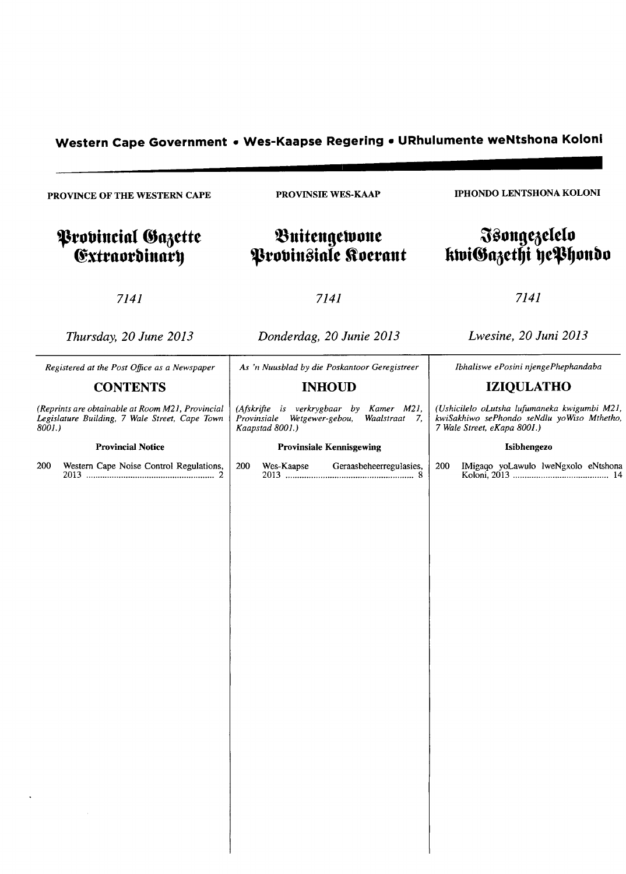# **Western Cape Government • Wes-Kaapse Regering • URhulumente weNtshona Koloni ------------------------..........**

PROVINCE OF THE WESTERN CAPE

# **Provincial Gazette** (fxttnutbinnt~

PROVINSIE WES-KAAP

# $$ **'tutJineinle ftuetnnt**

IPHONDO LENTSHONA KOLONI

# $\mathfrak F$ songezelelo ktviGazethi yePhondo

7141

7141

7141

*Thursday, 20 June 2013* 

*Registered at the Post Office as a Newspaper*  **CONTENTS**  *(Reprints are obtainable at Room M21, Provincial*  Legislature Building, 7 Wale Street, Cape Town

Provincial Notice

*8001.)* 

*Donderdag, 20 Junie 2013* 

As 'n Nuusblad by die Poskantoor Geregistreer

## **INHOUD**

(Afskrifte is verkrygbaar by Kamer M21,<br>Provinsiale Wetgewer-gebou, Waalstraat 7, *Provinsiale Wetgewer-gebou, Kaapstad 8001.)* 

#### Provinsiale Kennisgewing

200 Western Cape Noise Control Regulations, 200 Wes-Kaapse Geraasbeheerregulasies, 200 IMigaqo yoLawulo IweNgxolo eNl~hona 2013 "'''''''''" .. ".""'''''''''''''''''''''''''',,.,,'' 2 2013 """"""""" .... "" ...... ,,,, ................... 8 Ko\oni, 2013 .... " ................................... 14

*Lwesine, 20 Juni 2013* 

*Ibhaliswe ePosini njengePhephandaba* 

# **IZIQULATHO**

*(Ushicilelo oLutsha lufumaneka kwigumbi M21,*   $kwiSakhiwo$  sePhondo seNdlu yoWiso Mthetho, *7 Wale Street, eKapa 800J,)* 

#### Isibhengezo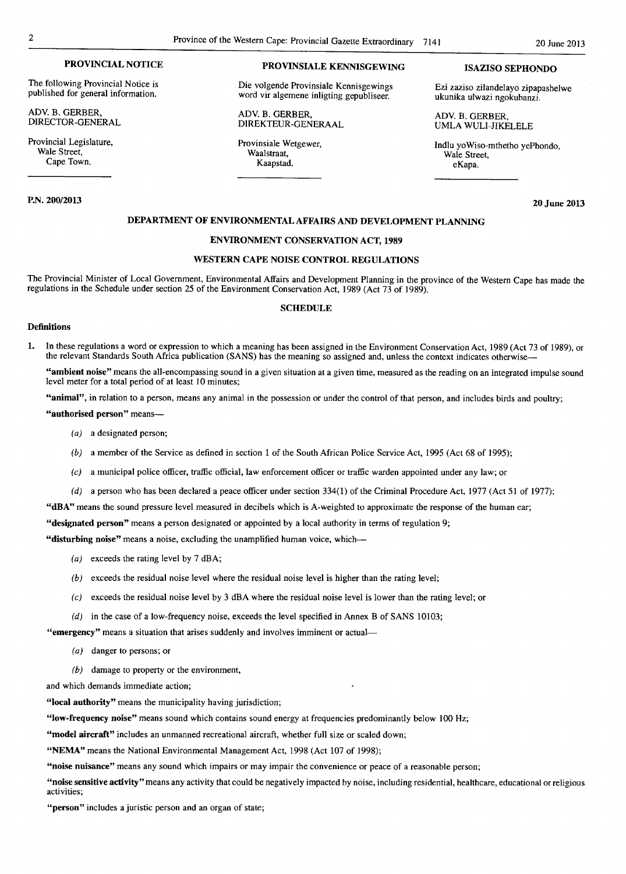The following Provincial Notice is published for general information.

ADV. B. GERBER, DIRECTOR-GENERAL

Provincial Legislature, Wale Street. Cape Town.

#### P.N. 200/2013

# PROVINCIAL NOTICE PROVINSIALE KENNISGEWING ISAZISO SEPHONDO

Die volgende Provinsiale Kennisgewings word vir algemene inligting gepubliseer.

ADV. B. GERBER, DIREKTEUR-GENERAAL

Provinsiale Wetgewer, Waalstraat, Kaapstad.

Ezi zaziso zilandelayo zipapashelwe ukunika ulwazi ngokubanzi.

ADV. B. GERBER, UMLA WULI-JIKELELE

Indlu yoWiso-mthetho yePhondo, Wale Street, eKapa.

20 June 2013

#### DEPARTMENT OF ENVIRONMENTAL AFFAIRS AND DEVELOPMENT PLANNING

## ENVIRONMENT CONSERVATION ACT, 1989

#### WESTERN CAPE NOISE CONTROL REGULATIONS

The Provincial Minister of Local Government, Environmental Affairs and Development Planning in the province of the Western Cape has made the regulations in the Schedule under section 25 of the Environment Conservation Act, 1989 (Act 73 of 1989).

#### **SCHEDULE**

#### Definitions

1. In these regulations a word or expression to which a meaning has been assigned in the Environment Conservation Act, 1989 (Act 73 of 1989), or the relevant Standards South Africa publication (SANS) has the meaning so assigned and, unless the context indicates otherwise—

"ambient noise" means the all-encompassing sound in a given situation at a given time, measured as the reading on an integrated impulse sound level meter for a total period of at least 10 minutes;

"animal", in relation to a person, means any animal in the possession or under the control of that person, and includes birds and poultry;

"authorised person" means-

- (a) a designated person;
- (b) a member of the Service as defined in section 1 of the South African Police Service Act, 1995 (Act 68 of 1995);
- (c) a municipal police officer, traffic official, law enforcement officer or traffic warden appointed under any law; or
- (d) a person who has been declared a peace officer under section  $334(1)$  of the Criminal Procedure Act, 1977 (Act 51 of 1977);

"dBA" means the sound pressure level measured in decibels which is A-weighted to approximate the response of the human ear;

"designated person" means a person designated or appointed by a local authority in terms of regulation 9;

"disturbing noise" means a noise, excluding the unamplified human voice, which-

- (a) exceeds the rating level by 7 dBA;
- (b) exceeds the residual noise level where the residual noise level is higher than the rating level;
- (c) exceeds the residual noise level by 3 dBA where the residual noise level is lower than the rating level; or
- (d) in the case of a low-frequency noise, exceeds the level specified in Annex B of SANS 10103;

"emergency" means a situation that arises suddenly and involves imminent or actual-

- (a) danger to persons; or
- $(b)$  damage to property or the environment,

and which demands immediate action;

"local authority" means the municipality having jurisdiction;

"low-frequency noise" means sound which contains sound energy at frequencies predominantly below 100 Hz;

"model aircraft" includes an unmanned recreational aircraft, whether full size or scaled down;

"NEMA" means the National Environmental Management Act, 1998 (Act 107 of 1998);

"noise nuisance" means any sound which impairs or may impair the convenience or peace of a reasonable person;

"noise sensitive activity" means any activity that could be negatively impacted by noise, including residential, healthcare, educational or religious activities;

"person" includes a juristic person and an organ of state;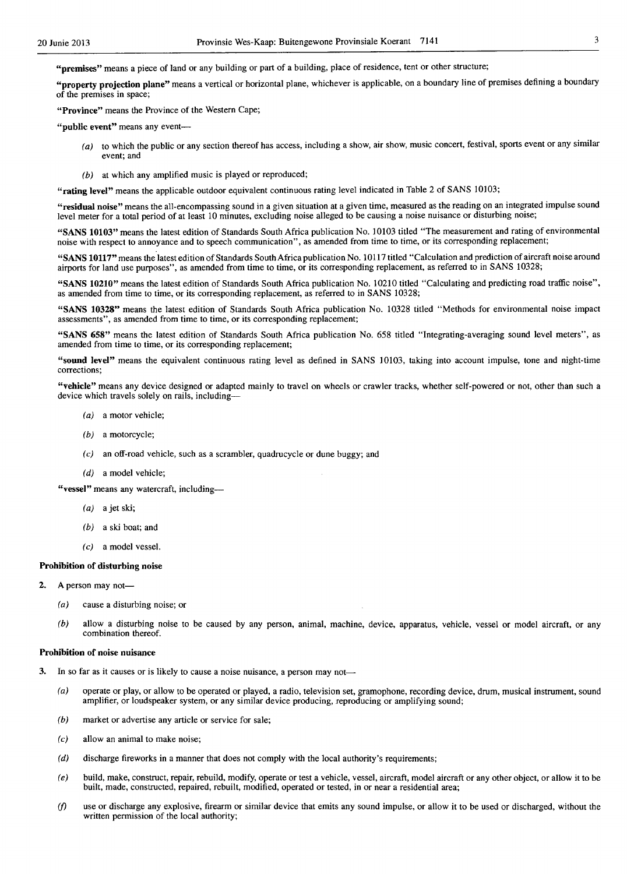"premises" means a piece of land or any building or part of a building, place of residence, tent or other structure;

"property projection plane" means a vertical or horizontal plane, whichever is applicable, on a boundary line of premises defining a boundary of the premises in space;

"Province" means the Province of the Western Cape;

"public event" means any event-

- (a) to which the public or any section thereof has access, including a show, air show, music concert, festival, sports event or any similar event; and
- (b) at which any amplified music is played or reproduced;

"rating level" means the applicable outdoor equivalent continuous rating level indicated in Table 2 of SANS 10103;

"residual noise" means the all-encompassing sound in a given situation at a given time, measured as the reading on an integrated impulse sound level meter for a total period of at least 10 minutes, excluding noise alleged to be causing a noise nuisance or disturbing noise;

"SANS 10103" means the latest edition of Standards South Africa publication No. 10103 titled "The measurement and rating of environmental noise with respect to annoyance and to speech communication", as amended from time to time, or its corresponding replacement;

"SANS 10117" means the latest edition of Standards South Africa publication No.1 0117 titled "Calculation and prediction of aircraft noise around airports for land use purposes", as amended from time to time, or its corresponding replacement, as referred to in SANS 10328;

"SANS 10210" means the latest edition of Standards South Africa publication No. 10210 titled "Calculating and predicting road traffic noise", as amended from time to time, or its corresponding replacement, as referred to in SANS 10328;

"SANS 10328" means the latest edition of Standards South Africa publication No. 10328 titled "Methods for environmental noise impact assessments", as amended from time to time, or its corresponding replacement;

"SANS 658" means the latest edition of Standards South Africa publication No. 658 titled "Integrating-averaging sound level meters", as amended from time to time, or its corresponding replacement;

"sound level" means the equivalent continuous rating level as defined in SANS 10103, taking into account impulse, tone and night-time corrections;

"vehicle" means any device designed or adapted mainly to travel on wheels or crawler tracks, whether self-powered or not, other than such a device which travels solely on rails, including-

- (a) a motor vehicle;
- (b) a motorcycle;
- $(c)$  an off-road vehicle, such as a scrambler, quadrucycle or dune buggy; and
- (d) a model vehicle:

"vessel" means any watercraft, including-

- (a) a jet ski;
- (b) a ski boat; and
- (c) a model vessel.

#### Prohibition of disturbing noise

- 2. A person may not-
	- (a) cause a disturbing noise; or
	- (b) allow a disturbing noise to be caused by any person, animal, machine, device, apparatus, vehicle, vessel or model aircraft, or any combination thereof.

#### Prohibition of noise nuisance

- 3. In so far as it causes or is likely to cause a noise nuisance, a person may not-
	- (a) operate or play, or allow to be operated or played, a radio, television set, gramophone, recording device, drum, musical instrument, sound amplifier, or loudspeaker system, or any similar device producing, reproducing or amplifying sound;
	- (b) market or advertise any article or service for sale;
	- $(c)$  allow an animal to make noise;
	- $(d)$  discharge fireworks in a manner that does not comply with the local authority's requirements;
	- (e) build, make, construct, repair, rebuild, modify, operate or test a vehicle, vessel, aircraft, model aircraft or any other object, or allow it to be built, made, constructed, repaired, rebuilt, modified, operated or tested, in or near a residential area;
	- if) use or discharge any explosive, firearm or similar device that emits any sound impulse, or allow it to be used or discharged, without the written permission of the local authority;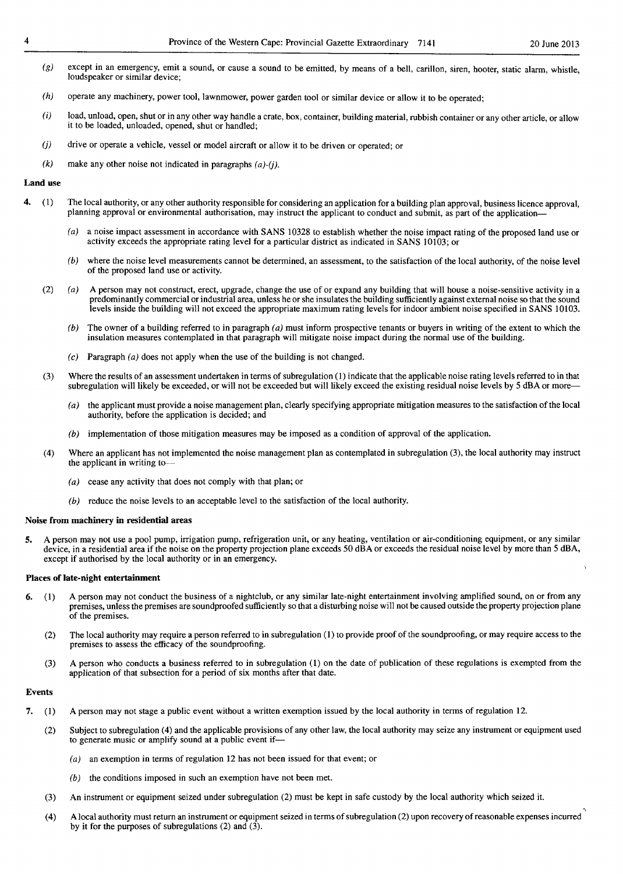- $(g)$ except in an emergency, emit a sound, or cause a sound to be emitted, by means of a bell, carillon, siren, hooter, static alarm, whistle, loudspeaker or similar device;
- (h) operate any machinery, power tool, lawnmower, power garden tool or similar device or allow it to be operated;
- (i) load, unload, open, shut or in any other way handle a crate, box, container, building material, rubbish container or any other article or allow it to be loaded, unloaded, opened, shut or handled;
- *(j)*  drive or operate a vehicle, vessel or model aircraft or allow it to be driven or operated; or
- (k) make any other noise not indicated in paragraphs *(a)-(j).*

#### Land use

- 4. (1) The local authority, or any other authority responsible for considering an application for a building plan approval, business licence approval, planning approval or environmental authorisation, may instruct the applicant to conduct and submit, as part of the application-
	- (a) a noise impact assessment in accordance with SANS 10328 to establish whether the noise impact rating of the proposed land use or activity exceeds the appropriate rating level for a particular district as indicated in SANS *10103;* or
	- $(b)$  where the noise level measurements cannot be determined, an assessment, to the satisfaction of the local authority, of the noise level of the proposed land use or activity.
	- (2) (a) A person may not construct, erect, upgrade, change the use of or expand any building that will house a noise-sensitive activity in a predominantly commercial or industrial area, unless he or she insulates the building sufficiently against external noise so that the sound levels inside the building will not exceed the appropriate maximum rating levels for indoor ambient noise specified in SANS 10103.
		- (b) The owner of a building referred to in paragraph  $(a)$  must inform prospective tenants or buyers in writing of the extent to which the insulation measures contemplated in that paragraph will mitigate noise impact during the normal use of the building.
		- (c) Paragraph  $(a)$  does not apply when the use of the building is not changed.
	- (3) Where the results of an assessment undertaken in terms of subregulation (1) indicate that the applicable noise rating levels referred to in that subregulation will likely be exceeded, or will not be exceeded but will likely exceed the existing residual noise levels by 5 dBA or more-
		- $(a)$  the applicant must provide a noise management plan, clearly specifying appropriate mitigation measures to the satisfaction of the local authority, before the application is decided; and
		- (b) implementation of those mitigation measures may be imposed as a condition of approval of the application.
	- (4) Where an applicant has not implemented the noise management plan as contemplated in subregulation (3), the local authority may instruct the applicant in writing to-
		- (a) cease any activity that does not comply with that plan; or
		- (b) reduce the noise levels to an acceptable level to the satisfaction of the local authority.

#### Noise from machinery in residential areas

5. A person may not use a pool pump, irrigation pump, refrigeration unit, or any heating, ventilation or air-conditioning equipment, or any similar device, in a residential area if the noise on the property projection plane exceeds 50 dBA or exceeds the residual noise level by more than 5 dBA, except if authorised by the local authority or in an emergency.

#### Places of late-night entertainment

- 6. (1) A person may not conduct the business of a nightclub, or any similar late-night entertainment involving amplified sound, on or from any premises, unless the premises are soundproofed sufficiently so that a disturbing noise will not be caused outside the property projection plane of the premises.
	- (2) The local authority may require a person referred to in subregulation (1) to provide proof of the soundproofing, or may require access to the premises to assess the efficacy of the soundproofing.
	- (3) A person who conducts a business referred to in subregulation (1) on the date of publication of these regulations is exempted from the application of that subsection for a period of six months after that date.

#### Events

- 7. (I) A person may not stage a public event without a written exemption issued by the local authority in terms of regulation 12.
	- (2) Subject to subregulation (4) and the applicable provisions of any other law, the local authority may seize any instrument or equipment used to generate music or amplify sound at a public event if-
		- (a) an exemption in terms of regulation 12 has not been issued for that event; or
		- (b) the conditions imposed in such an exemption have not been met.
	- (3) An instrument or equipment seized under subregulation (2) must be kept in safe custody by the local authority which seized it.
	- (4) A local authority must return an instrument or equipment seized in terms of subregulation (2) upon recovery of reasonable expenses incurred " by it for the purposes of subregulations (2) and  $(3)$ .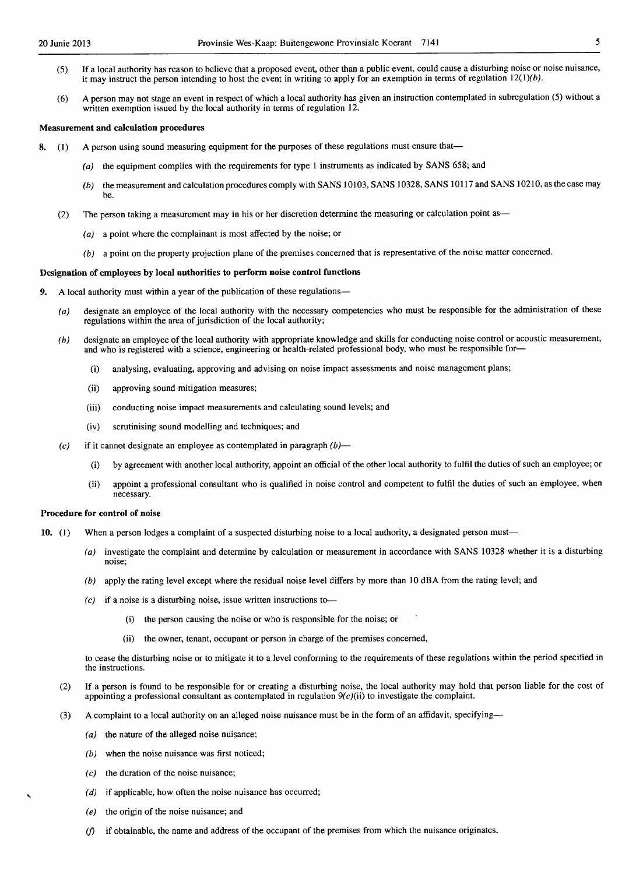- (5) If a local authority has reason to believe that a proposed event, other than a public event, could cause a disturbing noise or noise nuisance, it may instruct the person intending to host the event in writing to apply for an exemption in terms of regulation  $12(1)(b)$ .
- (6) A person may not stage an event in respect of which a local authority has given an instruction contemplated in subregulation (5) without a written exemption issued by the local authority in terms of regulation 12.

#### Measurement and calculation procedures

- 8. (1) A person using sound measuring equipment for the purposes of these regulations must ensure that-
	- (a) the equipment complies with the requirements for type 1 instruments as indicated by SANS 658; and
	- (b) the measurement and calculation procedures comply with SANS 10103, SANS 10328, SANS 10117 and SANS 10210, as the case may be.
	- (2) The person taking a measurement may in his or her discretion determine the measuring or calculation point as-
		- (a) a point where the complainant is most affected by the noise; or
		- (b) a point on the property projection plane of the premises concerned that is representative of the noise matter concerned.

#### Designation of employees by local authorities to perform noise control functions

- 9. A local authority must within a year of the publication of these regulations-
	- (a) designate an employee of the local authority with the necessary competencies who must be responsible for the administration of these regulations within the area of jurisdiction of the local authority;
	- (b) designate an employee of the local authority with appropriate knowledge and skills for conducting noise control or acoustic measurement, and who is registered with a science, engineering or health-related professional body, who must be responsible for-
		- (i) analysing, evaluating, approving and advising on noise impact assessments and noise management plans;
		- (ii) approving sound mitigation measures;
		- (iii) conducting noise impact measurements and calculating sound levels; and
		- (iv) scrutinising sound modelling and tcchniques; and
	- (c) if it cannot designate an employee as contemplated in paragraph  $(b)$ 
		- (i) by agreement with another local authority, appoint an official of the other local authority to fulfil the duties of such an employee; or
		- (ii) appoint a professional consultant who is qualified in noise control and competent to fulfil the duties of such an employee, when necessary.

#### Procedure for control of noise

- 10. (1) When a person lodges a complaint of a suspected disturbing noise to a local authority, a designated person must-
	- (a) investigate the complaint and determine by calculation or measurement in accordance with SANS 10328 whether it is a disturbing noise;
	- (b) apply the rating level except where the residual noise level differs by more than 10 dBA from the rating lcvel; and
	- $(c)$  if a noise is a disturbing noise, issue written instructions to-
		- (i) the person causing the noise or who is responsible for the noise; or
		- (ii) the owner, tenant, occupant or person in charge of the premises concerned,

to cease the disturbing noise or to mitigate it to a level conforming to the requirements of these regulations within the period specified in the instructions.

- (2) If a person is found to be responsible for or creating a disturbing noise, the local authority may hold that person liable for the cost of appointing a professional consultant as contemplated in regulation  $9(c)(ii)$  to investigate the complaint.
- (3) A complaint to a local authority on an alleged noise nuisance must be in the form of an affidavit, specifying-
	- $(a)$  the nature of the alleged noise nuisance;
	- (b) when the noise nuisance was first noticed;
	- $(c)$  the duration of the noise nuisance;
	- (d) if applicable, how often the noise nuisance has occurred;
	- (e) the origin of the noise nuisance; and
	- *(f)* if obtainable, the name and address of the occupant of the premises from which the nuisance originates.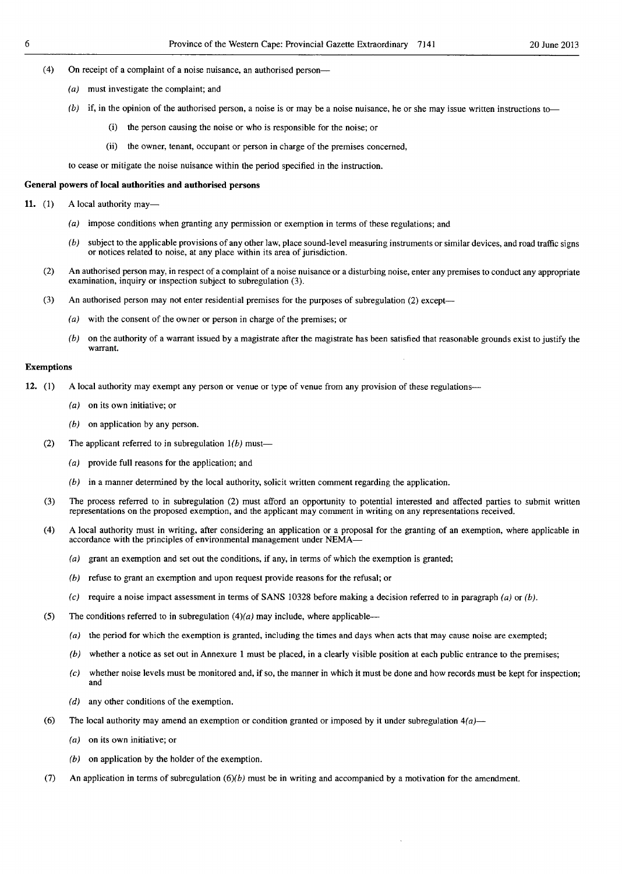- (4) On receipt of a complaint of a noise nuisance, an authorised person-
	- (a) must investigate the complaint; and
	- $(b)$  if, in the opinion of the authorised person, a noise is or may be a noise nuisance, he or she may issue written instructions to
		- the person causing the noise or who is responsible for the noise; or
		- (ij) the owner, tenant, occupant or person in charge of the premises concerned,

to cease or mitigate the noise nuisance within the period specified in the instruction.

#### General powers of local authorities and authorised persons

11. (1) A local authority may—

- (a) impose conditions when granting any permission or exemption in terms of these regulations; and
- (b) subject to the applicable provisions of any other law, place sound-level measuring instruments or similar devices, and road traffic signs or notices related to noise, at any place within its area of jurisdiction.
- (2) An authorised person may, in respect of a complaint of a noise nuisance or a disturbing noise, enter any premises to conduct any appropriate examination, inquiry or inspection subject to subregulation (3).
- (3) An authorised person may not enter residential premises for the purposes of subregulation (2) except-
	- (a) with the consent of the owner or person in charge of the premises; or
	- $(b)$  on the authority of a warrant issued by a magistrate after the magistrate has been satisfied that reasonable grounds exist to justify the warrant.

#### Exemptions

- 12. (1) A local authority may exempt any person or venue or type of venue from any provision of these regulations---
	- (a) on its own initiative; or
	- (b) on application by any person.
	- (2) The applicant referred to in subregulation  $1(b)$  must-
		- (a) provide full reasons for the application; and
		- (b) in a manner determined by the local authority, solicit written comment regarding the application.
	- (3) The process referred to in subregulation (2) must afford an opportunity to potential interested and affected parties to submit written representations on the proposed exemption, and the applicant may comment in writing on any representations received.
	- (4) A local authority must in writing, after considering an application or a proposal for the granting of an exemption, where applicable in accordance with the principles of environmental management under NEMA-
		- (a) grant an exemption and set out the conditions, if any, in terms of which the exemption is granted;
		- (b) refuse to grant an exemption and upon request provide reasons for the refusal; or
		- (c) require a noise impact assessment in terms of SANS 10328 before making a decision referred to in paragraph (a) or (b).
	- (5) The conditions referred to in subregulation  $(4)(a)$  may include, where applicable--
		- (a) the period for which the exemption is granted, including the timcs and days when acts that may cause noise are exempted;
		- $(b)$  whether a notice as set out in Annexure 1 must be placed, in a clearly visible position at each public entrance to the premises;
		- $(c)$  whether noise levels must be monitored and, if so, the manner in which it must be done and how records must be kept for inspection; and
		- (d) any other conditions of the exemption.
	- (6) The local authority may amend an exemption or condition granted or imposed by it under subregulation  $4(a)$ 
		- (a) on its own initiative; or
		- (b) on application by the holder of the exemption.
	- (7) An application in terms of subregulation  $(6)(b)$  must be in writing and accompanied by a motivation for the amendment.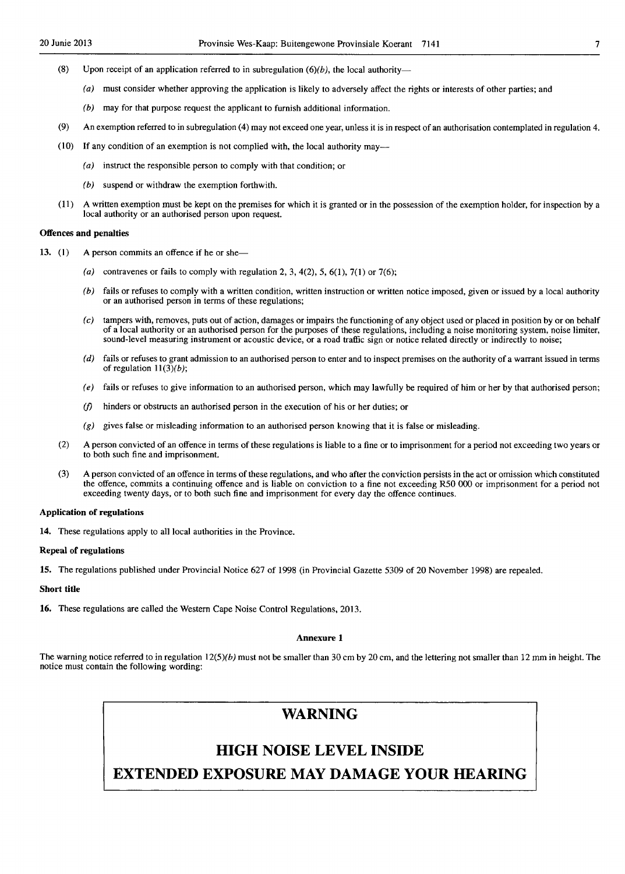- (8) Upon receipt of an application referred to in subregulation  $(6)(b)$ , the local authority-
	- (a) must consider whether approving the application is likely to adversely affect the rights or interests of other parties; and
	- (b) may for that purpose request the applicant to furnish additional information.
- (9) An exemption referred to in subregulation (4) may not exceed one year, unless it is in respect of an authorisation contemplated in regulation 4.
- (10) If any condition of an exemption is not complied with, the local authority may-
	- (a) instruct the responsible person to comply with that condition; or
	- (b) suspend or withdraw the exemption forthwith.
- (11) A written exemption must be kept on the premises for which it is granted or in the possession of the exemption holder, for inspection by a local authority or an authorised person upon request.

#### Offences and penalties

- 13. (1) A person commits an offence if he or she—
	- (a) contravenes or fails to comply with regulation 2, 3,  $4(2)$ , 5,  $6(1)$ ,  $7(1)$  or  $7(6)$ ;
	- (b) fails or refuses to comply with a written condition, written instruction or written notice imposed, given or issued by a local authority or an authorised person in terms of these regulations;
	- $(c)$  tampers with, removes, puts out of action, damages or impairs the functioning of any object used or placed in position by or on behalf of a local authority or an authorised person for the purposes of these regulations, including a noise monitoring system, noise limiter, sound-level measuring instrument or acoustic device, or a road traffic sign or notice related directly or indirectly to noise;
	- (d) fails or refuses to grant admission to an authorised person to enter and to inspect premises on the authority of a warrant issued in terms of regulation  $11(3)(b)$ ;
	- $(e)$  fails or refuses to give information to an authorised person, which may lawfully be required of him or her by that authorised person;
	- *(j)* hinders or obstructs an authorised person in the execution of his or her duties; or
	- $(g)$  gives false or misleading information to an authorised person knowing that it is false or misleading.
	- (2) A person convicted of an offence in terms of these regulations is liable to a fine or to imprisonment for a period not exceeding two years or to both such fine and imprisonment.
	- (3) A person convicted of an offence in terms of these regulations, and who after the conviction persists in the act or omission which constituted the offence, commits a continuing offence and is liable on conviction to a fine not exceeding R50 000 or imprisonment for a period not exceeding twenty days, or to both such fine and imprisonment for every day the offence continues.

#### Application of regulations

14. These regulations apply to all local authorities in the Province.

#### Repeal of regulations

15. The regulations published under Provincial Notice 627 of 1998 (in Provincial Gazette 5309 of 20 November 1998) are repealed.

#### Short title

16. These regulations are called the Western Cape Noise Control Regulations, 2013.

#### Annexure 1

The warning notice referred to in regulation  $12(5)(b)$  must not be smaller than 30 cm by 20 cm, and the lettering not smaller than 12 mm in height. The notice must contain the following wording:

# **WARNING**

# **HIGH NOISE LEVEL INSIDE**

**EXTENDED EXPOSURE MAY DAMAGE YOUR HEARING**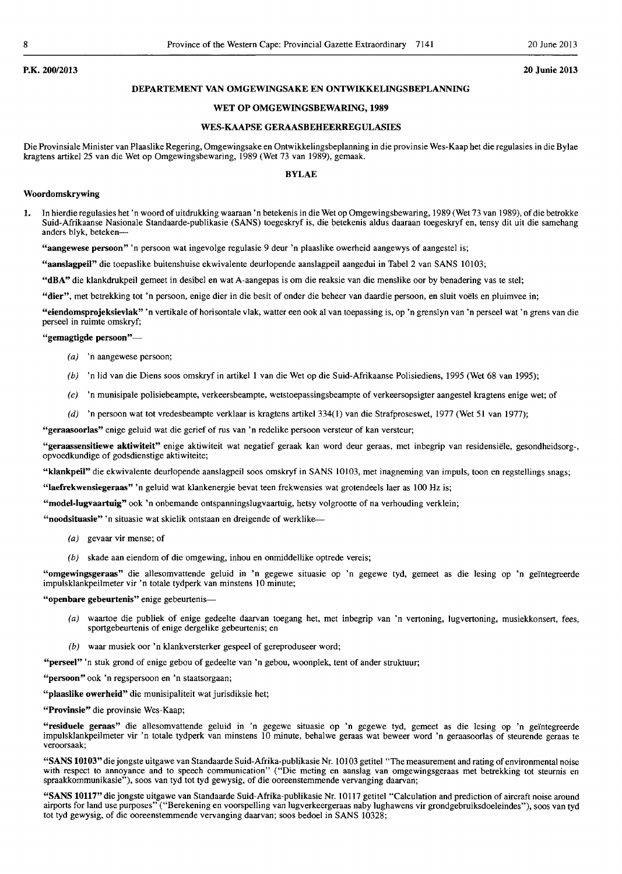#### P.K. 200/2013 20 Junie 2013

#### DEPARTEMENT VAN OMGEWINGSAKE EN ONTWIKKELINGSBEPLANNING

#### WET OP OMGEWINGSBEWARING, 1989

#### WES-KAAPSE GERAASBEHEERREGULASIES

Die Provinsiale Minister van Plaaslike Regering, Omgewingsake en Ontwikkelingsbeplanning in die provinsie Wes-Kaap het die regulasies in die Bylae kragtens artikel 25 van die Wet op Omgewingsbewaring, 1989 (Wet 73 van 1989), gemaak.

#### BYLAE

#### Woordomskrywing

1. In hierdie regulasies het 'n woord of uitdrukking waaraan 'n betekenis in die Wet op Omgewingsbewaring, 1989 (Wet 73 van 1989), of die betrokke Suid-Afrikaanse Nasionale Standaarde-publikasie (SANS) toegeskryf is, die betekenis aldus daaraan toegeskryf en, tensy dit uit die samehang anders blyk, beteken-

"aangewese persoon" 'n persoon wat ingevolge regulasie 9 deur 'n plaaslike owerheid aangewys of aangestel is;

"aanslagpeil" die toepaslike buitenshuise ekwivalente deurIopende aanslagpeil aangedui in Tabel 2 van SANS 10103;

"dBA" die klankdrukpeil gemeet in desibel en wat A-aangepas is om die reaksie van die menslike oor by benadering vas te stel;

"dier", met betrekking tot 'n persoon, enige dier in die besit of onder die beheer van daardie persoon, en sluit voëls en pluimvee in;

"eiendomsprojeksievlak" 'n vertikale of horisontale vlak, watter een ook al van toepassing is, op 'n grenslyn van 'n perseel wat 'n grens van die perseel in ruimte omskryf;

"gemagtigde persoon"-

- (a) 'n aangewese persoon;
- (b) 'n lid van die Diens soos omskryf in artikel 1 van die Wet op die Suid-Afrikaanse Polisiediens, 1995 (Wet 68 van 1995);
- (c) 'n munisipale polisiebeampte, verkeersbeampte, wetstoepassingsbeampte of verkeersopsigter aangestel kragtens enige wet; of
- (d) 'n persoon wat tot vredesbeampte verklaar is kragtens artikeI334(1) van die Strafproseswet, 1977 (Wet 51 van 1977);

"geraasoorlas" enige geluid wat die gerief of rus van 'n redelike persoon versteur of kan versteur;

"geraassensitiewe aktiwiteit" enige aktiwiteit wat negatief geraak kan word deur geraas, met inbegrip van residensiele, gesondheidsorg-, opvoedkundige of godsdienstige aktiwiteite;

"klankpeil" die ekwivalente deurlopende aanslagpeil soos omskryf in SANS 10103, met inagneming van impuls, toon en regstellings snags;

"Iaefrekwensiegeraas" 'n geluid wat klankenergie bevat teen frekwensies wat grotendeels laer as 100 Hz is;

"model-lugvaartuig" ook 'n onbemande ontspanningslugvaartuig, hetsy volgrootte of na verhouding verklein;

"noodsituasie" 'n situasie wat skielik ontstaan en dreigende of werklike--

- (a) gevaar vir mense; of
- (b) skade aan eiendom of die omgewing, inhou en onmiddellike optrede vereis;

"omgewingsgeraas" die allesomvattende geluid in 'n gegewe situasie op 'n gegewe tyd, gemeet as die lesing op 'n geïntegreerde impulsklankpeilmeter vir 'n totale tydperk van minstens 10 minute;

#### "openbare gebeurtenis" enige gebeurtenis-

- (a) waartoe die publiek of enige gedeelte daarvan toegang het, met inbegrip van 'n vertoning, lugvertoning, musiekkonsert, fees, sportgebeurtenis of enige dergelike gebeurtenis; en
- (b) waar musiek oor 'n klankversterker gespeel of gereproduseer word;

"perseel" 'n stuk grond of enige gebou of gedeelte van 'n gebou, woonplek, tent of ander struktuur;

"persoon" ook 'n regspersoon en 'n staatsorgaan;

"plaaslike owerheid" die munisipaliteit wat jurisdiksie het;

"Provinsie" die provinsie Wes-Kaap;

"residuele geraas" die allesomvattende geluid in 'n gegewe situasie op 'n gegewe tyd, gemeet as die lesing op 'n geintegreerde impuisklankpeilmeter vir 'n totale tydperk van minstens 10 minute, behalwe geraas wat beweer word 'n geraasoorlas of steurende geraas te veroorsaak;

"SANS 10103" die jongste uitgawe van Standaarde Suid-Afrika-publikasie Nr. 10103 getitel "The measurement and rating of environmental noise with respect to annoyance and to speech communication" ("Die meting en aanslag van omgewingsgeraas met betrekking tot steurnis en spraakkommunikasie"), soos van tyd tot tyd gewysig, of die ooreenstemmende vervanging daarvan;

"SANS 10117" die jongste uitgawe van Standaarde Suid-Afrika-publikasie Nr. 10117 getitel "Calculation and prediction of aircraft noise around airports for land use purposes" ("Berekening en voorspelling van lugverkeergeraas naby lughawens vir grondgebruiksdoeleindes"), soos van tyd tot tyd gewysig, of die ooreenstemmende vervanging daarvan; soos bedoel in SANS 10328;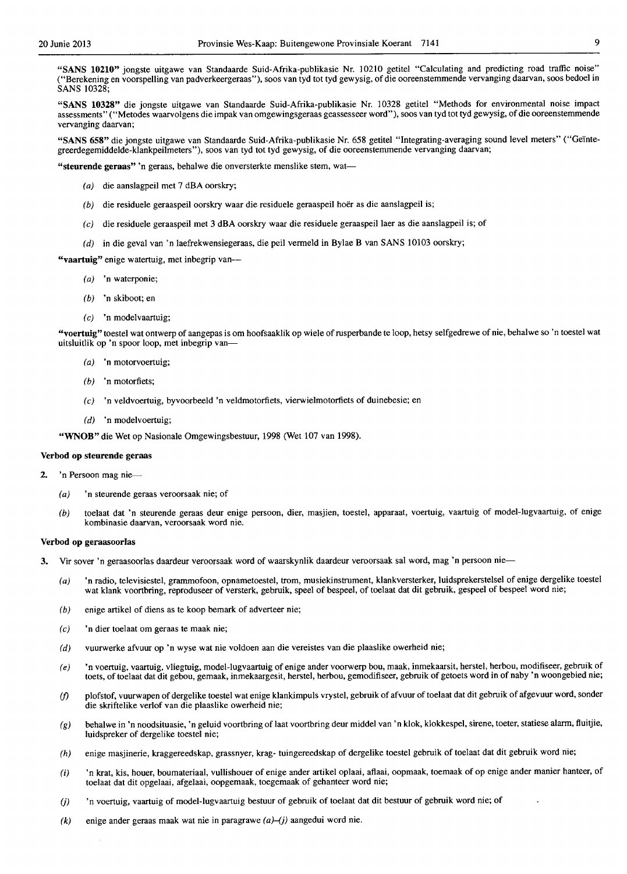"SANS 10210" jongste uitgawe van Standaarde Suid-Afrika-publikasie Nr. 10210 getitel "Calculating and predicting road traffic noise" ("Berekening en voorspelling van padverkeergeraas"), soos van tyd tot tyd gewysig, of die ooreenstemmende vervanging daarvan, 5005 bedoel in SANS 10328;

"SANS 10328" die jongste uitgawe van Standaarde Suid-Afrika-publikasie Nr. 10328 getitel "Methods for environmental noise impact assessments" ("Metodes waarvolgens die impak van omgewingsgeraas geassesseer word"), soos van tyd tot tyd gewysig, of die ooreenstemmende vervanging daarvan;

"SANS 658" die jongste uitgawe van Standaarde Suid-Afrika-publikasie Nr. 658 getitel "Integrating-averaging sound level meters" ("Geintegreerdegemiddelde-kIankpeilmeters"), soos van tyd tot tyd gewysig, of die ooreenstemmende vervanging daarvan;

"steurende geraas" 'n geraas, behalwe die onversterkte menslike stem, wat-

- (a) die aanslagpeil met 7 dBA oorskry;
- (b) die residuele geraaspeil oorskry waar die residuele geraaspeil hoër as die aanslagpeil is;
- (e) die residuele geraaspeil met 3 dBA oorskry waar die residuele geraaspeillaer as die aanslagpeil is; of
- (d) in die geval van 'n laefrekwensiegeraas, die peil vermeld in Bylae B van SANS 10103 oorskry;

"vaartuig" enige watertuig, met inbegrip van--

- (a) 'n waterponie;
- (b) 'n skiboot; en
- (e) 'n modelvaartuig;

"voertuig" toestel wat ontwerp of aangepas is om hoofsaaklik op wiele of rusperbande te loop, hetsy selfgedrewe of nie, behalwe so 'n toestel wat uitsluitlik op 'n spoor loop, met inbegrip van-

- (a) 'n motorvoertuig;
- (b) 'n motorfiets;
- (e) 'n veldvoertuig, byvoorbeeld 'n veldmotorfiets, vierwielmolorfiets of duinebesie; en
- $(d)$  'n modelvoertuig;

"WNOB" die Wet op Nasionale Omgewingsbestuur, 1998 (Wet 107 van 1998).

#### Verbod op steurende geraas

- 'n Persoon mag nie-
	- (a) 'n steurende geraas veroorsaak nie; of
	- (b) toelaat dat 'n steurende geraas deur enige persoon, dier, masjien, toestel, apparaat, voertuig, vaartuig of model-Iugvaartuig, of enige kombinasie daarvan, veroorsaak word nie.

#### Verbod op geraasoorlas

- 3. Vir sover 'n geraasoorlas daardeur veroorsaak word of waarskynlik daardeur veroorsaak sal word, mag 'n persoon nie-
	- (a) 'n radio, televisiestel, grammofoon, opnametoestel, trom, musiekinstrument, klankversterker, luidsprekerstelsel of enige dergelike toestel wat klank voortbring, reproduseer of versterk, gebruik, speel of bespeel, of toelaat dat dit gebruik, gespeel of bespeel word nie;
	- (b) enige artikel of diens as te koop bemark of adverteer nie;
	- (e) 'n dier toelaat om geraas te maak nie;
	- (d) vuurwerke afvuur op 'n wyse wat nie voldoen aan die vereistes van die plaaslike owerbeid nie;
	- (e) 'n voertuig, vaartuig, vliegtuig, model-lugvaartuig of enige ander voorwerp bou, maak, inmekaarsit, herstel, herbou, modifiseer, gebruik of toets, of toelaat dat dit gebou, gemaak, inmekaargesit, berstel, herbou, gemodifiseer, gebruik of getoets word in of naby 'n woongebied nie;
	- if) plofstof, vuurwapen of dergelike toestel wat enige klankimpuls vrystel, gebruik of afvuur of toelaat dat dit gebruik of afgevuur word, sonder die skriftelike verlof van die plaaslike owerheid nie;
	- (g) behalwe in 'n noodsituasie, 'n geluid voortbring of laat voortbring deur middel van 'n kIok, kIokkespel, sirene, toeter, statiese alarm, fluitjie, luidspreker of dergelike toestel nie;
	- (h) enige masjinerie, kraggereedskap, grassnyer, krag- tuingereedskap of dergelike toestel gebruik of toelaat dat dit gebruik word nie;
	- (i) 'n krat, kis, houer, boumateriaal, vullishouer of enige ander artikel oplaai, aflaai, oopmaak, toemaak of op enige ander manier hanteer, of toelaat dat dit opgelaai, afgelaai, oopgemaak, toegemaak of gebanteer word nie;
	- (j) 'n voertuig, vaartuig of model-lugvaartuig bestuur of gebruik of toelaat dat dit bestuur of gebruik word nie; of
	- $(k)$  enige ander geraas maak wat nie in paragrawe  $(a)$ - $(j)$  aangedui word nie.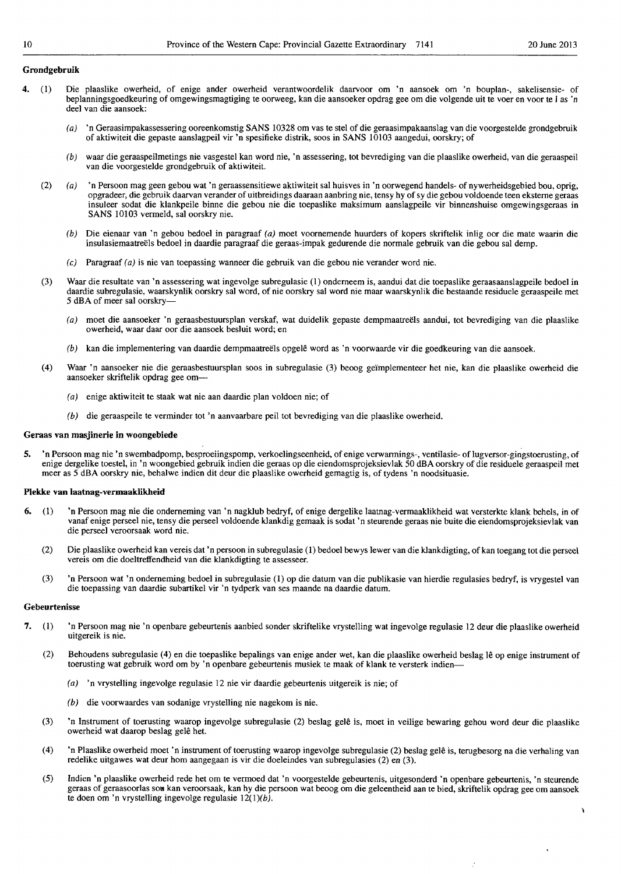١

ż

#### Grondgebruik

- 4. (I) Die plaaslike owerheid, of enige ander owerheid verantwoordelik daarvoor om 'n aansoek om 'n bouplan-, sakelisensie- of beplanningsgoedkeuring of omgewingsmagtiging te oorweeg, kan die aansoeker opdrag gee om die volgende uit te voer en voor te I as 'n deel van die aansoek:
	- (a) 'n Geraasimpakassessering ooreenkomstig SANS 10328 om vas te stel of die geraasimpakaanslag van die voorgestelde grondgebruik of aktiwiteit die gepaste aanslagpeil vir'n spesifieke distrik, soos in SANS 10103 aangedui, oorskry; of
	- (b) waar die geraaspeilmetings nie vasgestel kan word nie, 'n assessering, tot bevrediging van die plaaslike owerheid, van die geraaspeil van die voorgestelde grondgebruik of aktiwiteit.
	- (2) (a) 'n Persoon mag geen gebou wat 'n geraassensitiewe aktiwiteit sal huisves in 'n oorwegend handels- of nywerheidsgebied bou, oprig, opgradeer, die gebruik daarvan verander of uitbreidings daaraan aanbring nie, tensy hy of sy die gebou voldoende teen eksteme geraas insuleer sodat die klankpeile binne die gebou nie die toepaslike maksimum aanslagpeile vir binnenshuise omgewingsgeraas in SANS 10103 vermeld, sal oorskry nie.
		- (b) Die eienaar van 'n gebou bedoel in paragraaf (a) moet voornemende huurders of kopers skriftelik inlig oor die mate waarin die insulasiemaatreëls bedoel in daardie paragraaf die geraas-impak gedurende die normale gebruik van die gebou sal demp.
		- $(c)$  Paragraaf (a) is nie van toepassing wanneer die gebruik van die gebou nie verander word nie.
	- (3) Waar die resultate van 'n assessering wat ingevolge subregulasie (1) onderneem is, aandui dat die toepaslike geraasaanslagpeile bedoel in daardie subregulasie, waarskynlik oorskry sal word, of nie oorskry sal word nie maar waarskynlik die bestaande residuele geraaspeile met 5 dBA of meer sal oorskry-
		- (a) moet die aansoeker 'n geraasbestuursplan verskaf, wat duidelik gepaste dempmaatreels aandui, tot bevrediging van die plaaslike owerheid, waar daar oor die aansoek besluit word; en
		- (b) kan die implementering van daardie dempmaatreëls opgelê word as 'n voorwaarde vir die goedkeuring van die aansoek.
	- (4) Waar 'n aansoeker nie die geraasbestuursplan soos in subregulasie (3) beoog ge"implementeer het nie, kan die plaaslike owerheid die aansoeker skriftelik opdrag gee om-
		- (a) enige aktiwiteit te staak wat nie aan daardie plan voldoen nie; of
		- (b) die geraaspeile te verminder tot 'n aanvaarbare peil tot bevrediging van die plaaslike owerheid.

#### Geraas van masjinerie in woongebiede

5. 'n Persoon mag nie 'n swembadpomp, besproeiingspomp, verkoelingseenheid, of enige verwarmings-, ventilasie- of lugversor-gingstoerusting, of enige dergelike toestel, in 'n woongebied gebruik indien die geraas op die eiendomsprojeksievlak 50 dBA oorskry of die residuele geraaspeiJ met meer as 5 dBA oorskry nie, behalwe indien dit deur die plaaslike owerheid gemagtig is, of tydens 'n noodsituasie.

#### Plekke van laatnag-vermaaklikheid

- 6. (I) 'n Persoon mag nie die onderneming van 'n nagklub bedryf, of enige dergelike laatnag-vermaaklikheid wat versterkte klank behels, in of vanaf enige perseel nie, tensy die perseel voldoende klankdig gemaak is sodat 'n steurende geraas nie buite die eiendomsprojeksievlak van die perseel veroorsaak word nie.
	- (2) Die plaaslike owerheid kan vereis dat 'n persoon in subregulasie (1) bedoel bewys lewer van die klankdigting, of kan toegang tot die perseel vereis om die doeltreffendheid van die klankdigting te assesseer.
	- (3) 'n Persoon wat 'n onderneming bedoel in subregulasie (1) op die datum van die publikasie van hierdie regulasies bedryf, is vrygestel van die toepassing van daardie subartikel vir 'n tydperk van ses maande na daardie datum.

#### Gebeurtenisse

- 7. (I) 'n Persoon mag nie 'n openbare gebeurtenis aanbied sonder skriftelike vrystelling wat ingevolge regulasie 12 deur die plaaslike owerheid uitgereik is nie.
	- (2) Behoudens subregulasie (4) en die toepaslike bepalings van enige ander wet, kan die plaaslike owerheid beslag Ie op enige instrument of toerusting wat gebruik word om by 'n openbare gebeurtenis musiek te maak of klank te versterk indien-
		- (a) 'n vrystelling ingevolge regulasie 12 nie vir daardie gebeurtenis uitgereik is nie; of
		- (b) die voorwaardes van sodanige vrystelling nie nagekom is nie.
	- (3) 'n Instrument of toerusting waarop ingevolge subregulasie (2) beslag gele is, moet in veilige bewaring gehou word deur die plaaslike owerheid wat daarop beslag gelê het.
	- (4) 'n Plaaslike owerheid moet 'n instrument of toerusting waarop ingevolge subregulasie (2) beslag gelê is, terugbesorg na die verhaling van redelike uitgawes wat deur hom aangegaan is vir die doeleindes van subregulasies (2) en (3).
	- (5) Indien 'n plaaslike owerheid rede het om te vermoed dat 'n voorgestelde gebeurtenis, uitgesonderd 'n openbare gebeurtenis, 'n steurende geraas of geraasoorlas sou kan veroorsaak, kan hy die persoon wat beoog om die geleentheid aan te bied, skriftelik opdrag gee om aansoek te doen om 'n vrystelling ingevolge regulasie  $12(1)(b)$ .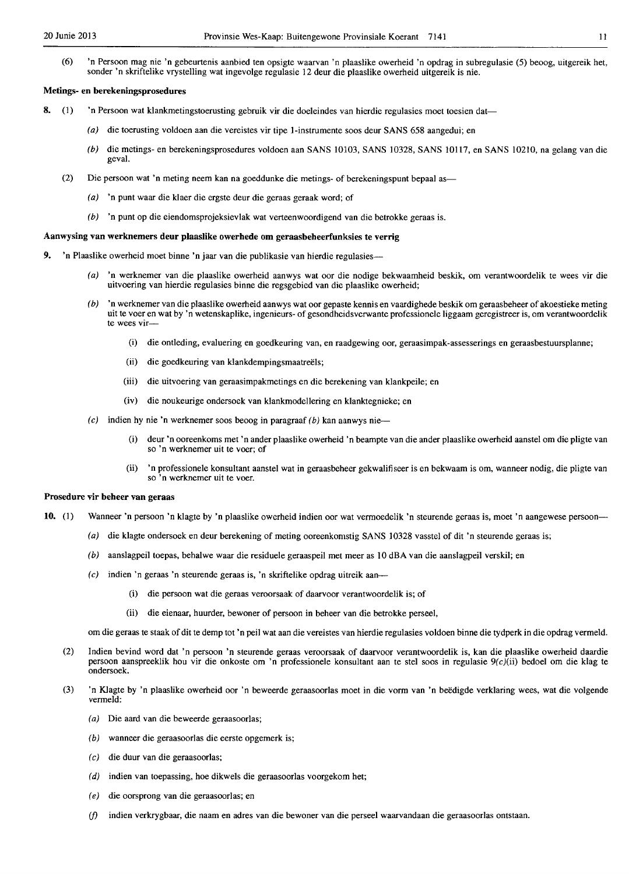(6) 'n Persoon mag nie 'n gebeurtenis aanbied ten opsigte waarvan 'n plaaslike owerheid 'n opdrag in subregulasie (5) beoog, uitgereik het, sonder 'n skriftelike vrystelling wat ingevolge regulasie 12 deur die plaaslike owerheid uitgereik is nie.

#### Metings- en berekeningsprosedures

- 8. (1) 'n Persoon wat klankmetingstoerusting gebruik vir die doeleindes van hierdie regulasies moet toesien dat
	- (a) die toerusting voldoen aan die vereistes vir tipe l-instrumente soos deur SANS 658 aangedui; en
	- (b) die metings- en berekeningsprosedures voldoen aan SANS 10103, SANS 10328, SANS 10117, en SANS 10210, na gelang van die geval.
	- (2) Die persoon wat 'n meting neem kan na goeddunke die metings- of berekeningspunt bepaal as-
		- (a) 'n punt waar die klaer die ergste deur die geraas geraak word; of
		- (b) 'n punt op die eiendomsprojeksievlak wat verteenwoordigend van die betrokke geraas is.

## Aanwysing van werknemers deur plaaslike owerhede om geraasbebeerfunksies te verrig

- 9. 'n Plaaslike owerheid moet binne 'n jaar van die publikasie van hierdie regulasies---
	- 'n werknemer van die plaaslike owerheid aanwys wat oor die nodige bekwaamheid beskik, om verantwoordelik te wees vir die uitvoering van hierdie regulasies binne die regsgebied van die plaaslike owerheid;
	- (b) 'n werknemer van die plaaslike owerheid aanwys wat oor gepaste kennis en vaardighede beskik om geraasbeheer of akoestieke meting uit te voer en wat by 'n wetenskaplike, ingenieurs- of gesondheidsverwante professionele Iiggaam geregistreer is, om verantwoordelik te wees vir-
		- (i) die ontleding, evaluering en goedkeuring van, en raadgewing oor, geraasimpak-assesserings en geraasbestuursplanne;
		- (ii) die goedkeuring van klankdempingsmaatreëls;
		- (iii) die uitvoering van geraasimpakmetings en die berekening van klankpeile; en
		- (iv) die noukeurige ondersoek van klankrnodellering en klanktegnieke; en
	- (c) indien hy nie 'n werknemer soos beoog in paragraaf (b) kan aanwys nie
		- deur 'n ooreenkoms met 'n ander plaaslike owerheid 'n beampte van die ander plaaslike owerheid aanstel om die pligte van so 'n werknemer uit te voer; of
		- (ii) 'n professionele konsultant aanstel wat in geraasbeheer gekwalifiseer is en bekwaam is om, wanneer nodig, die pligte van so 'n werknemer uit te voer.

#### Prosedure vir beheer van geraas

- 10. (1) Wanneer 'n persoon 'n klagte by 'n plaaslike owerheid indien oor wat vermoedelik 'n steurende geraas is, moet 'n aangewese persoon-
	- (a) die klagte ondersoek en deur berekening of meting ooreenkomstig SANS 10328 vasstel of dit 'n steurende geraas is;
	- (b) aanslagpeil toepas, behalwe waar die residuele geraaspeil met meer as 10 dBA van die aanslagpeil verskil; en
	- (c) indien 'n geraas 'n steurende geraas is, 'n skriftelike opdrag uitreik aan-
		- (i) die persoon wat die geraas veroorsaak of daarvoor verantwoordelik is; of
		- (ii) die eienaar, huurder, bewoner of persoon in beheer van die betrokke perseel,

om die geraas te staak of dit te demp tot 'n peil wat aan die vereistes van hierdie regulasies voldoen binne die tydperk in die opdrag vermeld.

- (2) Indien bevind word dat 'n persoon 'n steurende geraas veroorsaak of daarvoor verantwoordelik is, kan die plaaslike owerheid daardie persoon aanspreeklik hou vir die onkoste om 'n professionele konsultant aan te stel soos in regulasie 9(c)(ii) bedoel om die klag te ondersoek.
- (3) 'n K1agte by 'n plaaslike owerheid oor 'n beweerde geraasoorlas moet in die vorm van 'n beedigde verklaring wees, wat die volgende vermeld:
	- (a) Die aard van die beweerde geraasoorlas;
	- (b) wanneer die geraasoorlas die eerste opgemerk is;
	- (c) die duur van die geraasoorlas;
	- (d) indien van toepassing, hoe dikwels die geraasoorlas voorgekom het;
	- (e) die oorsprong van die geraasoorlas; en
	- indien verkrygbaar, die naam en adres van die bewoner van die perseel waarvandaan die geraasoorlas ontstaan.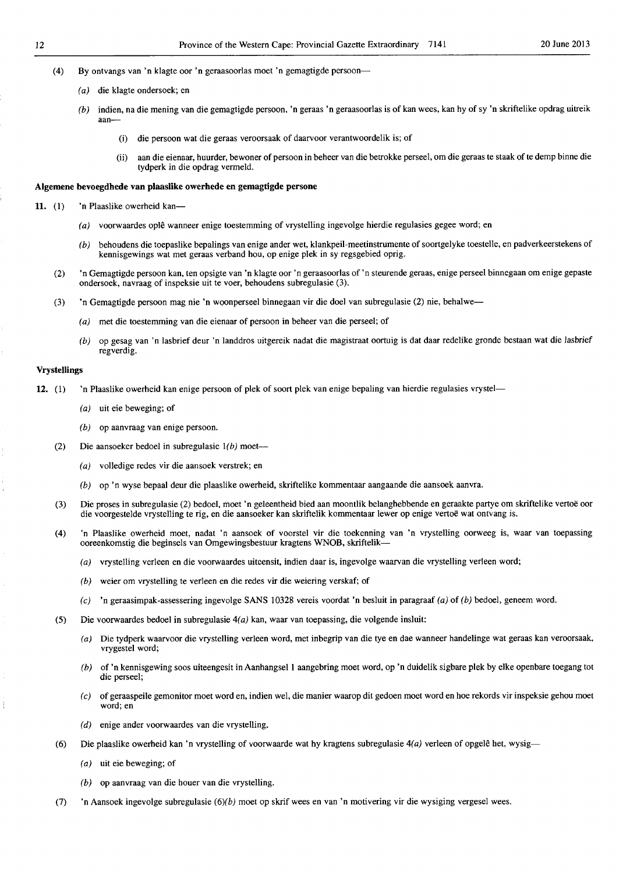- (4) By ontvangs van 'n klagte oor 'n geraasoorlas moet 'n gemagtigde persoon-
	- (a) die klagte ondersoek; en
	- $(b)$  indien, na die mening van die gemagtigde persoon, 'n geraas 'n geraasoorlas is of kan wees, kan hy of sy 'n skriftelike opdrag uitreik aan-
		- (i) die persoon wat die geraas veroorsaak of daarvoor verantwoordelik is; of
		- (ii) aan die eienaar, huurder, bewoner of persoon in beheer van die betrokke perseel, om die geraas te staak of te demp binne die tydperk in die opdrag vermeld.

#### Aigemene bevoegdhede van pJaaslike owerhede en gemagtigde persone

- 11. (1) 'n Plaaslike owerheid kan-
	- (a) voorwaardes oplê wanneer enige toestemming of vrystelling ingevolge hierdie regulasies gegee word; en
	- (b) behoudens die toepaslike bepalings van enige ander wet, klankpeil-meetinstrumente of soortgelyke toestelle, en padverkeerstekens of kennisgewings wat met geraas verband hou, op enige plek in sy regsgebied oprig.
	- (2) 'n Gemagtigde persoon kan, ten opsigte van 'n klagte oor'n geraasoorlas of'n steurende geraas, enige perseel binnegaan om enige gepaste onder sock, navraag of inspeksie uit te voer, behoudens subregulasie (3).
	- (3) 'n Gemagtigde persoon mag nie 'n woonperseel binnegaan vir die doel van subregulasie (2) nie, behalwe-
		- (a) met die toestemming van die eienaar of persoon in beheer van die perseel; of
		- (b) op gesag van 'n lasbrief deur 'n landdros uitgereik nadat die magistraat oortuig is dat daar redelike gronde bestaan wat die lasbrief regverdig.

#### Vrystellings

- 12. (1) 'n Plaaslike owerheid kan enige persoon of plek of soort plek van enige bepaling van hierdie regulasies vrystel-
	- (a) uit eic bcweging; of
	- (b) op aanvraag van enige persoon.
	- (2) Die aansoeker bedoel in subregulasie  $1(b)$  moet--
		- (a) volledige redes vir die aansoek verstrek; en
		- (b) op 'n wyse bepaal deur die plaaslike owerheid, skriftelike kommentaar aangaande die aansoek aanvra.
	- (3) Die proses in subregulasie (2) bedoel, moet 'n geleentheid bied aan moontlik belanghebbende en geraakte partye om skriftelike vertoe oor die voorgestelde vrystelling te rig, en die aansoeker kan skriftelik kommentaar lewer op enige vertoe wat ontvang is.
	- (4) 'n Plaaslike owerheid moet, nadat 'n aansoek of voorstel vir die toekenning van 'n vrystelling oorweeg is, waar van toepassing oorcenkomstig die beginsels van Omgewingsbestuur kragtens WNOB, skriftelik-
		- (a) vrystelling verleen en die voorwaardes uiteensit, indien daar is, ingevolge waarvan die vrystelling verleen word;
		- (b) weier om vrystelling te verleen en die redes vir die weiering verskaf; of
		- (e) 'n geraasirnpak-assessering ingevolge SANS 10328 vereis voordat 'n besluit in paragraaf (a) of (b) bedoel, geneem word.
	- (5) Die voorwaardes bedoel in subregulasie  $4(a)$  kan, waar van toepassing, die volgende insluit:
		- (a) Die tydperk waarvoor die vrystelling verleen word, met inbegrip van die tye en dae wanneer handelinge wat geraas kan veroorsaak, vrygestel word;
		- (b) of 'n kennisgewing soos uiteengesit in Aanhangsel I aangebring moet word, op 'n duidelik sigbare plek by elke openbare toegang tot die perseel;
		- (c) of geraaspeile gemonitor moet word en, indien weI, die manier waarop dit gedoen moet word en hoe rekords vir inspeksie gehou moet word; en
		- (d) enige ander voorwaardes van die vrystelling.
	- (6) Die plaaslike owerheid kan 'n vrystelling of voorwaarde wat hy kragtens subregulasie  $4(a)$  verleen of opgelê het, wysig-
		- (a) uit eie beweging; of
		- (b) op aanvraag van die houer van die vrystelling.
	- (7) 'n Aansoek ingevolge subregulasie (6)(b) moet op skrif wees en van 'n motivering vir die wysiging vergesel wees.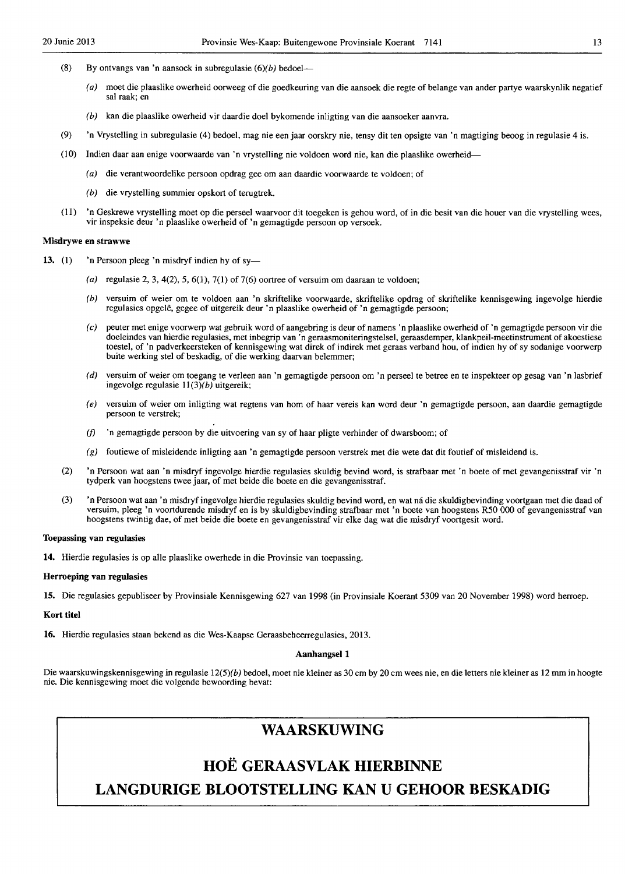- (8) By ontvangs van 'n aansoek in subregulasie  $(6)(b)$  bedoel-
	- (a) moet die plaaslike owerheid oorweeg of die goedkeuring van die aansoek die regte of belange van ander partye waarskynlik negatief sal raak; en
	- (b) kan die plaaslike owerheid vir daardie doel bykomende inligting van die aansoeker aanvra.
- (9) 'n Vrystelling in subregulasie (4) bedoel, mag nie een jaar oorskry nie, tensy dit ten opsigte van 'n magtiging beoog in regulasie 4 is.
- (10) Indien daar aan enige voorwaarde van 'n vrystelling nie voldoen word nie, kan die plaaslike owerheid-
	- (a) die verantwoordelike persoon opdrag gee om aan daardie voorwaarde te voldoen; of
	- (b) die vrystelling summier opskort of terugtrek.
- (11) 'n Geskrewe vrystelling moet op die perseel waarvoor dit toegeken is gehou word, of in die besit van die houer van die vrystelling wees, vir inspeksie deur 'n plaaslike owerheid of 'n gemagtigde persoon op versoek.

#### Misdrywe en strawwe

- 13. (1)  $\cdot$  'n Persoon pleeg 'n misdryf indien hy of sy-
	- (a) regulasie 2, 3, 4(2), 5, 6(1), 7(1) of 7(6) oortree of versuim om daaraan te voldoen;
	- (b) versuim of weier om te voldoen aan 'n skriftelike voorwaarde, skriftelike opdrag of skriftelike kennisgewing ingevolge hierdie regulasies opgele, gegee of uitgereik deur 'n plaaslike owerheid of 'n gemagtigde persoon;
	- (c) peuter met enige voorwerp wat gebruik word of aangebring is cleur of namens 'n plaaslike owerheid of 'n gemagtigde persoon vir clie doeleindes van hierdie regulasies, met inbegrip van 'n geraasmoniteringstelsel, geraasdemper, klankpeil-meetinstrument of akoestiese toestel, of 'n padverkeersteken of kennisgewing wat direk of indirek met geraas verband hou, of indien hy of sy sodanige voorwerp buite werking stel of beskadig, of die werking daarvan belemmer;
	- (d) versuim of weier om toegang te verleen aan 'n gemagtigde persoon om 'n perseel te betree en te inspekteer op gesag van 'n lasbrief ingevolge regulasie  $11(3)(b)$  uitgereik;
	- (e) versuim of weier om inligting wat regtens van hom of haar vereis kan word deur 'n gemagtigde persoon, aan claardie gemagtigde persoon te verstrek;
	- (f) 'n gemagtigde persoon by die uitvoering van sy of haar pligte verhinder of dwarsboom; of
	- $(g)$  foutiewe of misleidende inligting aan 'n gemagtigde persoon verstrek met die wete dat dit foutief of misleidend is.
	- (2) 'n Persoon wat aan 'n misdryf ingevolge hierdie regulasies skuldig bevind word, is strafbaar met 'n boete of met gevangenisstraf vir 'n tydperk van hoogstens twee jaar, of met beide die boete en die gevangenisstraf.
	- (3) 'n Persoon wat aan 'n misdryf ingevolge hierdie regulasies skuldig bevind word, en wat ná die skuldigbevinding voortgaan met die daad of versuim, pleeg 'n voortdurende misdryf en is by skuldigbevinding strafbaar met 'n boete van hoogstens RSO 000 of gevangenisstraf van hoogstens twintig dae, of met beide die boete en gevangenisstraf vir elke dag wat die misdryf voortgesit word.

#### Toepassing van regulasies

14. Hierdie regulasies is op aile plaaslike owerhede in die Provinsie van toepassing.

#### Herroeping van regulasies

15. Die regulasies gepubliseer by Provinsiale Kennisgewing 627 van 1998 (in Provinsiale Koerant 5309 van 20 November 1998) word herroep.

#### Kort titel

16. Hierdie regulasies staan bekend as die Wes-Kaapse Geraasbeheerregulasies, 2013.

#### Aanbangsel 1

Die waarskuwingskennisgewing in regulasie 12(5)(b) bedoel, moet nie kleiner as 30 cm by 20 cm wees nie, en die letters nie kleiner as 12 mm in hoogte nie. Die kennisgewing moet die volgende bewoording bevat:

# **WAARSKUWING**

# **HOE GERAASVLAK HIERBINNE LANGDURIGE BLOOTSTELLING KAN U GEHOOR BESKADIG**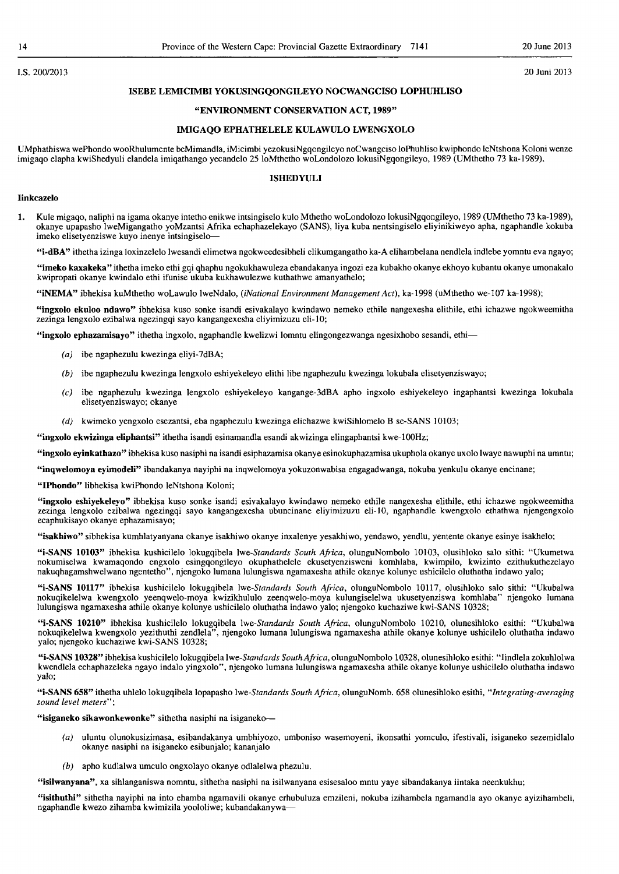#### I.S.200/2013 20 Juni 2013

#### **ISEBE LEMICIMBI YOKUSINGQONGILEYO NOCWANGCISO LOPHUHLISO**

#### **"ENVIRONMENT CONSERVATION ACT, 1989"**

#### **IMIGAQO EPHATHELELE KULAWULO LWENGXOLO**

UMphathiswa wePhondo wooRhulumente beMimandla, iMicimbi yezokusiNgqongileyo noCwangciso 10Phuhliso kwiphondo IeNtshona Koloni wenze imigaqo elapha kwiShedyuli elandela imiqathango yecandelo 2510Mthetho woLondolozo 10kusiNgqongileyo, 1989 (UMthetho 73 ka-1989).

#### **ISHEDYULI**

#### **Iinkcazelo**

1. Kule migaqo, naliphi na igama okanye intetho enikwe intsingiselo kulo Mthetho woLondolozo 10kusiNgqongileyo, 1989 (UMthetho 73 ka-1989). okanye upapasho IweMigangatho yoMzantsi Afrika echaphazelekayo (SANS), liya kuba nentsingiselo eliyinikiweyo apha, ngaphandle kokuba imeko elisetyenziswe kuyo inenye intsingiselo-

**"i-dBA"** ithetha izinga loxinzelelo Iwesandi elimetwa ngokweedesibheli elikumgangatho ka-A elihambelana nendlela indlebe yomntu eva ngayo;

**"imeko kaxakeka"** ithetha imeko ethi gqi qhaphu ngokukhawuleza ebandakanya ingozi eza kubakho okanye ekhoyo kubantu okanye umonakalo kwipropati okanye kwindalo ethi ifunise ukuba kukhawulezwe kuthathwe amanyathelo;

**"iNEMA"** ibhekisa kuMthetho woLawulo IweNdalo, *(iNational Environment Management Act),* ka-1998 (uMthetho we-I07 ka-1998);

**"ingxolo ekuloo ndawo"** ibhekisa kuso sonke isandi esivakalayo kwindawo nemeko ethile nangexesha elithile, ethi ichazwe ngokweemitha zezinga lengxolo ezibalwa ngezingqi sayo kangangexesha eliyimizuzu eli-10;

**"ingxolo ephazamisayo"** ithetha ingxolo, ngaphandle kwelizwi lomntu elingongezwanga ngesixhobo sesandi, ethi-

- (a) ibe ngaphezulu kwezinga eliyi-7dBA;
- (b) ibe ngaphezulu kwezinga lengxolo eshiyekeleyo elithi libe ngaphezulu kwezinga lokubala elisetyenziswayo;
- (c) ibe ngaphezulu kwezinga lengxolo eshiyekeleyo kangange-3dBA apho ingxolo eshiyekeleyo ingaphantsi kwezinga lokubala elisetyenziswayo; okanye
- (d) kwimeko yengxolo esezantsi, eba ngaphezulu kwezinga elichazwe kwiSihlomelo B se-SANS 10103;

**"ingxolo ekwizinga eliphantsi"** ithetha isandi esinamandla esandi akwizinga elingaphantsi kwe-100Hz;

**"ingxolo eyinkathazo"** ibhekisa kuso nasiphi na isandi esiphazamisa okanye esinokuphazamisa ukuphola okanye uxolo Iwaye nawuphi na umntu;

**"inqwelomoya eyimodeli"** ibandakanya nayiphi na inqwelomoya yokuzonwabisa engagadwanga, nokuba yenkulu okanye encinane;

**"IPhondo"** libhekisa kwiPhondo IeNtshona Koloni;

**"ingxolo eshiyekeleyo"** ibhekisa kuso sonke isandi esivakalayo kwindawo nemeko ethile nangexesha elithile, ethi ichazwe ngokweemitha zezinga lengxolo ezibalwa ngezingqi sayo kangangexesha ubuncinane eliyimizuzu eli-lO, ngaphandle kwengxolo ethathwa njengengxolo ecaphukisayo okanye ephazamisayo;

**"isakhiwo"** sibhekisa kumhlatyanyana okanye isakhiwo okanye inxalenye yesakhiwo, yendawo, yendlu, yentente okanye esinye isakhelo;

**"i-SANS 10103"** ibhekisa kushicilelo lokugqibela *Iwe-Standards South Africa,* olunguNombolo 10103, olusihloko saID sithi: "Ukumetwa nokumiselwa kwamaqondo engxolo esingqongileyo okuphathelele ekusetyenzisweni komhlaba, kwimpilo, kwizinto ezithukuthezelayo nakuqhagamshwelwano ngentetho", njengoko lumana lulungiswa ngamaxesha athile okanye kolunye ushicilelo oluthatha indawo yalo;

**"i-SANS 10117"** ibhekisa kushicilelo lokugqibela *Iwe-Standards South Africa,* olunguNombolo 10117, olusihloko salo sithi: "Ukubalwa nokuqikelelwa kwengxolo yeenqwelo-moya kwizikhululo zeenqwelo-moya kulungiselelwa ukusetyenziswa komhlaba" njengoko lumana lulungiswa ngamaxesha athile okanye kolunye ushicilelo oluthatha indawo yalo; njengoko kuchaziwe kwi-SANS 10328;

**"i-SANS 10210"** ibhekisa kushicilelo lokugqibela *Iwe-Standards South Africa,* olunguNombolo 10210, olunesihloko esithi: "Ukubalwa nokuqikelelwa kwengxolo yezithuthi zendlela", njengoko lumana lulungiswa ngamaxesha athile okanye kolunye ushicilelo oluthatha indawo yalo; njengoko kuchaziwe kwi-SANS 10328;

**"i-SANS 10328"** ibhekisa kushicilelo lokugqibela *Iwe-Standards South Africa,* olunguNombolo 10328, olunesihloko esithi: "Iindlela zokuhlolwa kwendlela echaphazeleka ngayo indalo yingxolo", njengoko lumana lulungiswa ngamaxesha athile okanye kolunye ushicilelo oluthatha indawo yalo;

**"i-SANS 658"** ithetha uhlelo lokugqibela lopapasho *Iwe-Standards South Africa,* olunguNomb. 658 olunesihloko esithi, *"Integrating-averaging sound level meters";* 

**"isiganeko sikawonkewonke"** sithetha nasiphi na isiganeko-

- (a) uluntu olunokusizimasa, esibandakanya umbhiyozo, umboniso wasemoyeni, ikonsathi yomculo, ifestivali, isiganeko sezemidlalo okanye nasiphi na isiganeko esibunjalo; kananjalo
- (b) apho kudlalwa umculo ongxolayo okanye odlalelwa phezulu.

**"isilwanyana",** xa sihlanganiswa nomntu, sithetha nasiphi na isilwanyana esisesaloo mntu yaye sibandakanya iintaka neenkukhu;

**"isithuthi"** sithetha nayiphi na into ehamba ngamavili okanye erhubuluza emzileni, nokuba izihambela ngamandla ayo okanye ayizihambeJi, ngaphandle kwezo zihamba kwimizila yoololiwe; kubandakanywa-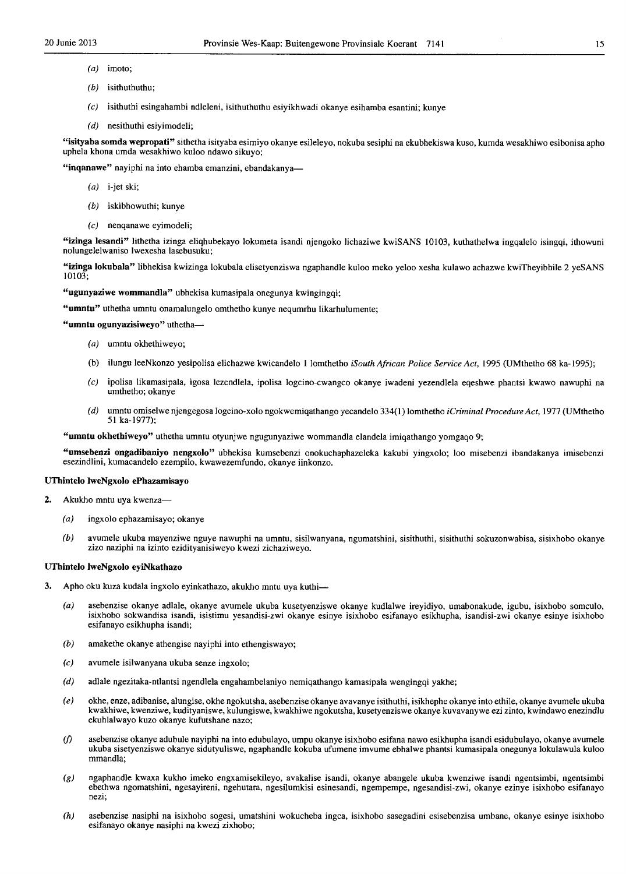- $(a)$  imoto;
- (b) isithuthuthu;
- $(c)$  isithuthi esingahambi ndleleni, isithuthuthu esiyikhwadi okanye esihamba esantini; kunye
- (d) nesithuthi esiyimodeli;

"isityaba somda wepropati" sithetha isityaba esimiyo okanye esileleyo, nokuba sesiphi na ekubhekiswa kuso, kumda wesakhiwo esibonisa apho uphela khona umda wesakhiwo kuloo ndawo sikuyo;

"inqanawe" nayiphi na into ehamba emanzini, ebandakanya-

- $(a)$  i-jet ski;
- (b) iskibhowuthi; kunye
- $(c)$  nenqanawe eyimodeli;

"izinga lesandi" Iithetha izinga eliqhubekayo lokumeta isandi njengoko lichaziwe kwiSANS 10103, kuthathelwa ingqalelo isingqi, ithowuni nolungelelwaniso Iwexesha lasebusuku;

"izinga lokubala" Iibhekisa kwizinga lokubala elisetyenziswa ngaphandle kuloo meko yeloo xesha kulawo achazwe kwiTheyibhile 2 yeSANS 10103;

"ugunyaziwe wommandla" ubhekisa kumasipala onegunya kwingingqi;

"umntu" uthetha umntu onamalungelo omthetho kunye nequmrhu likarhulumente;

"umntu ogunyazisiweyo" uthetha-

- (a) umntu okhethiweyo;
- (b) i1ungu leeNkonzo yesipolisa elichazwe kwicandelo I lomthetho *iSouth African Police Service Act,* 1995 (UMthetho 68 ka-1995);
- (c) ipolisa likamasipala, igosa lezendlela, ipolisa logcino-cwangco okanye iwadeni yezendlela eqeshwe phantsi kwawo nawuphi na umthetho; okanye
- *(d)* umntu omiselwe njengegosa logcino-xolo ngokwemiqathango yecandelo 334(1) lomthetho *iCriminal Procedure Act,* 1977 (UMthetho 51 ka-1977);

"umntu okhethiweyo" uthetha umntu otyunjwe ngugunyaziwe wommandla elandela imiqathango yomgaqo 9;

"umsebenzi ongadibaniyo nengxolo" ubhekisa kumsebenzi onokuchaphazeleka kakubi yingxolo; 100 misebenzi ibandakanya imisebenzi esezindlini, kumacandelo ezempilo, kwawezemfundo, okanye iinkonzo.

#### UThinte10 IweNgxo)o ePhazamisayo

- 2. Akukho mntu uya kwenza-
	- (a) ingxolo ephazamisayo; okanye
	- (b) avumele ukuba mayenziwe nguye nawuphi na umntu, sisilwanyana, ngurnatshini, sisithuthi, sisithuthi sokuzonwabisa, sisixhobo okanye zizo naziphi na izinto ezidityanisiweyo kwezi zichaziweyo.

#### UThintelo IweNgxolo eyiNkathazo

- 3. Apho oku kuza kudala ingxolo eyinkathazo, akukho mntu uya kuthi-
	- (a) asebenzise okanye adlale, okanye avumele ukuba kusetyenziswe okanye kudlalwe ireyidiyo, umabonakude, igubu, isixhobo somculo, isixhobo sokwandisa isandi, isistimu yesandisi-zwi okanye esinye isixhobo esifanayo esikhupha, isandisi-zwi okanye esinye isixhobo esifanayo esikhupha isandi;
	- (b) amakethe okanye athengise nayiphi into ethengiswayo;
	- (c) avurnele isilwanyana ukuba senze ingxolo;
	- (d) adlale ngezitaka-ntlantsi ngendlela engahambelaniyo nemiqathango kamasipala wengingqi yakhe;
	- (e) okhe, enze, adibanise, alungise, okhe ngokutsha, asebenzise okanye avavanye isithuthi, isikhephe okanye into ethile, okanye avumele ulmba kwakhiwe, kwenziwe, kudityaniswe, kulungiswe, kwakhiwe ngokutsha, kusetyenziswe okanye kuvavanywe ezi zinto, kwindawo enezindlu ekuhlalwayo kuzo okanye kufutshane nazo;
	- *(j)* asebenzise okanye adubule nayiphi na into edubulayo, urnpu okanye isixhobo esifana nawo esikhupha isandi esidubulayo, okanye avurnele ukuba sisetyenziswe okanye sidutyuliswe, ngaphandle kokuba ufurnene irnvume ebhalwe phantsi kurnasipala onegunya lokulawula kuloo mmandla:
	- $(g)$  ngaphandle kwaxa kukho imeko engxamisekileyo, avakalise isandi, okanye abangele ukuba kwenziwe isandi ngentsimbi, ngentsimbi ebethwa ngornatshini, ngesayireni, ngehutara, ngesilurnkisi esinesandi, ngernpempe, ngesandisi-zwi, okanye ezinye isixhobo esifanayo nezi;
	- (h) asebenzise nasiphi na isixhobo sogesi, umatshini wokucheba ingca, isixhobo sasegadini esisebenzisa urnbane, okanye esinye isixhobo esifanayo okanye nasiphi na kwezi zixhobo;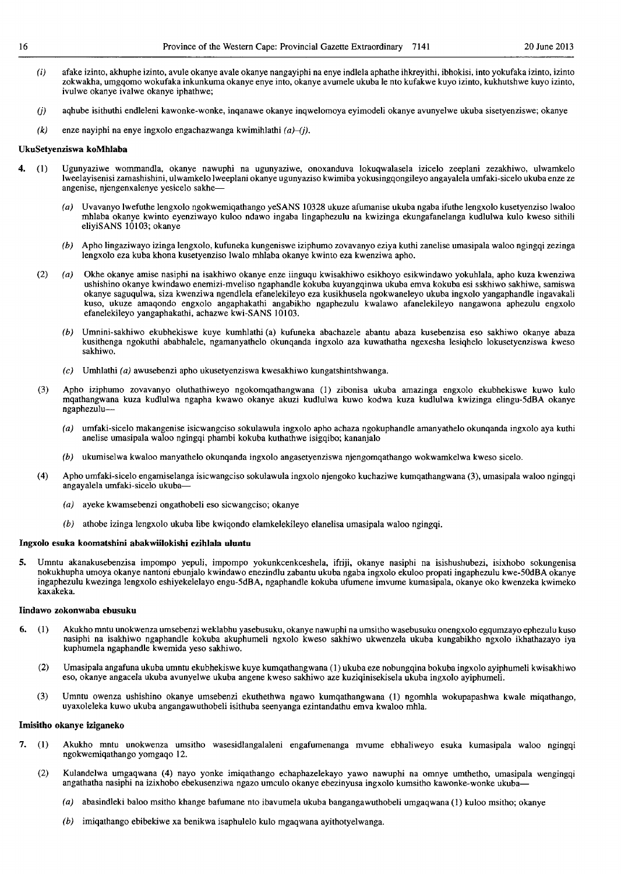- (i) afake izinto, akhuphe izinto, avule okanye avale okanye nangayiphi na enye indlela aphathe ihkreyithi, ibhokisi, into yokufaka izinto, izinto zokwakha, umgqomo wokufaka inkunkuma okanye enye into, okanye avumele ukuba Ie nto kufakwe kuyo izinto, kukhutshwe kuyo izinto, ivulwe okanye ivalwe okanye iphathwe;
- (j) aqhube isithuthi endleleni kawonke-wonke, inqanawe okanye inqwelomoya eyimodeli okanye avunyelwe ukuba sisetyenziswe; okanye
- $(k)$  enze nayiphi na enye ingxolo engachazwanga kwimihlathi  $(a)$ - $(j)$ .

#### UkuSetyenziswa koMhlaba

- 4. (I) Ugunyaziwe womrnandla, okanye nawuphi na ugunyaziwe, onoxanduva lokuqwalasela izicelo zeeplani zezakhiwo, ulwamkelo Iweelayisenisi zamashishini, ulwamkelo Iweeplani okanye ugunyaziso kwimiba yokusingqongileyo angayalela umfaki-sicelo ukuba enze ze angenise, njengenxalenye yesicelo sakhe-
	- Uvavanyo lwefuthe lengxolo ngokwemiqathango yeSANS 10328 ukuze afumanise ukuba ngaba ifuthe lengxolo kusetyenziso lwaloo mhlaba okanye kwinto eyenziwayo kuloo ndawo ingaba lingaphezulu na kwizinga ekungafanelanga kudlulwa kulo kweso sithili eliyiSANS 10103; okanye
	- (b) Apho lingaziwayo izinga lengxolo, kufuneka kungeniswe iziphumo zovavanyo eziya kuthi zanelise umasipala waloo ngingqi zezinga lengxolo eza kuba khona kusetyenziso lwalo mhlaba okanye kwinto eza kwenziwa apho.
	- (2) (a) Okhe okanye amise nasiphi na isakhiwo okanye enze iinguqu kwisakhiwo esikhoyo esikwindawo yokuhlala, apho kuza kwenziwa ushishino okanye kwindawo enemizi-mveliso ngaphandle kokuba kuyangqinwa ukuba emva kokuba esi sskhiwo sakhiwe, samiswa okanye saguqulwa, siza kwenziwa ngendlela efanelekileyo eza kusikhusela ngokwaneleyo ukuba ingxolo yangaphandle ingavakaJi kuso, ukuze amaqondo engxolo angaphakathi angabikho ngaphezulu kwalawo afanelekileyo nangawona aphezulu engxolo efanelekileyo yangaphakathi, achazwe kwi-SANS 10103.
		- (b) Umnini-sakhiwo ekubhekiswe kuye kumhlathi (a) kufuneka abachazele abantu abaza kusebenzisa eso sakhiwo okanye abaza kusithenga ngokuthi ababhalele, ngamanyathelo okunqanda ingxolo aza kuwathatha ngexesha lesiqhelo lokusetyenziswa kweso sakhiwo.
		- $(c)$  Umhlathi (a) awusebenzi apho ukusetyenziswa kwesakhiwo kungatshintshwanga.
	- (3) Apho iziphumo zovavanyo oluthathiweyo ngokomqathangwana (1) zibonisa ukuba amazinga engxolo ekubhekiswe kuwo kulo mqathangwana kuza kudlulwa ngapha kwawo okanye akuzi kudlulwa kuwo kodwa kuza kudlulwa kwizinga elingu-5dBA okanye ngaphezulu
		- umfaki-sicelo makangenise isicwangciso sokulawula ingxolo apho achaza ngokuphandle amanyathelo okunqanda ingxolo aya kuthi anelise umasipala waloo ngingqi phambi kokuba kuthathwe isigqibo; kananjalo
		- (b) ukumiselwa kwaloo manyathelo okunqanda ingxolo angasetyenziswa njengomqathango wokwamkelwa kweso sicelo.
	- (4) Apho umfaki-sicelo engamiselanga isicwangciso sokulawula ingxolo njengoko kuchaziwe kumqathangwana (3), umasipala waloo ngingqi angayalela umfaki-sicelo ukuba-
		- (a) ayeke kwamsebenzi ongathobeli eso sicwangciso; okanye
		- (b) athobe izinga lengxolo ukuba libe kwiqondo elamkelekileyo elanelisa umasipala waloo ngingqi.

#### Ingxolo esuka koomatshini abakwiilokishi ezihlala **uluntu**

5. Umntu akanakusebenzisa impompo yepuli, impompo yokunkcenkceshela, ifriji, okanye nasiphi na isishushubezi, isixhobo sokungenisa nokukhupha umoya okanye nantoni ebunjalo kwindawo enezindlu zabantu ukuba ngaba ingxolo ekuloo propati ingaphezulu kwe-50dBA okanye ingaphezulu kwezinga lengxolo eshiyekelelayo engu-5dBA, ngaphandle kokuba ufumene imvume kumasipala, okanye oko kwenzeka kwimeko kaxakeka.

#### Iindawo zokonwaba ebusuku

- 6. (1) Akukho mntu unokwenza umsebenzi weklabhu yasebusuku, okanye nawuphi na umsitho wasebusuku onengxolo egqumzayo ephezulu kuso nasiphi na isakhiwo ngaphandle kokuba akuphumeli ngxolo kweso sakhiwo ukwenzela ukuba kungabikho ngxolo ikhathazayo iya kuphumela ngaphandle kwemida yeso sakhiwo.
	- (2) Umasipala angafuna ukuba umntu ekubhekiswe kuye kumqathangwana (1) ukuba eze nobungqina bokuba ingxolo ayiphumeli kwisakhiwo eso, okanye angacela ukuba avunyelwe ukuba angene kweso sakhiwo aze kuziqinisekisela ukuba ingxolo ayiphumeli.
	- (3) Umntu owenza ushishino okanye umsebenzi ekuthethwa ngawo kumqathangwana (1) ngomhla wokupapashwa kwale miqathango, uyaxoleleka kuwo ukuba angangawuthobeli isithuba seenyanga ezintandathu emva kwaloo mhla.

#### lmisitho okanye iziganeko

- 7. (1) Akukho mntu unokwenza umsitho wasesidlangalaleni engafumenanga mvume ebhaliweyo esuka kumasipala waloo ngingqi ngokwemiqathango yomgaqo 12.
	- (2) Kulandelwa umgaqwana (4) nayo yonke imiqathango echaphazelekayo yawo nawuphi na omnye umthetho, umasipala wengingqi angathatha nasiphi na izixhobo ebekusenziwa ngazo umculo okanye ebezinyusa ingxolo kumsitho kawonke-wonke ukuba-
		- (a) abasindleki baloo msitho khange bafumane nto ibavumela ukuba bangangawuthobeli umgaqwana (1) kuloo msitho; okanye
		- (b) imiqathango ebibekiwe xa benikwa isaphulelo kulo mgaqwana ayithotyelwanga.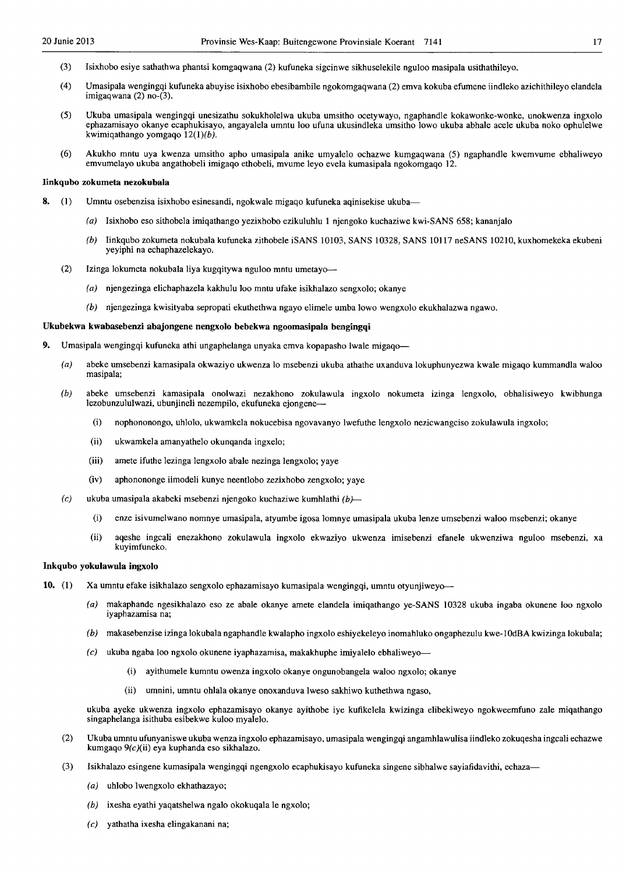- (3) Isixhobo esiye sathathwa phantsi komgaqwana (2) kufuneka sigcinwe sikhuselekile nguloo masipala usithathileyo.
- (4) Umasipala wengingqi kufuneka abuyise isixhobo ebesibambile ngokomgaqwana (2) emva kokuba efumene iindleko azichithileyo elandela imigaqwana (2) no-(3).
- (5) Ukuba umasipala wengingqi unesizathu sokukholelwa ukuba umsitho ocetywayo, ngaphandle kokawonke-wonke, unokwenza ingxolo ephazamisayo okanye ecaphukisayo, angayalela umntu 100 ufuna ukusindleka umsitho Iowa ukuba abhale acele ukuba noko ophulelwe kwimiqathango yomgaqo 12(1)(b).
- (6) Akukho mntu uya kwenza umsitho apho umasipala anike umyalelo ochazwe kumgaqwana (5) ngaphandle kwemvume ebhaliweyo emvumelayo ukuba angathobeli imigaqo ethobeli, mvume leyo evela kumasipala ngokomgaqo 12.

#### Iinkqubo zokumeta nezokubala

- 8. (1) Umntu osebenzisa isixhobo esinesandi, ngokwale migaqo kufuneka aqinisekise ukuba-
	- (a) Isixhobo eso sithobela imiqathango yezixhobo ezikuluhlu 1 njengoko kuchaziwe kwi-SANS 658; kananjalo
	- (b) Iinkqubo zokumeta nokubala kufuneka zithobele iSANS 10103, SANS 10328, SANS 10117 neSANS 10210, kuxhomekeka ekubeni yeyiphi na echaphazelekayo.
	- (2) Izinga lokumeta nokubala liya kugqitywa nguloo mntu umetayo-
		- (a) njengezinga elichaphazela kakhulu 100 mntu ufake isikhalazo sengxolo; okanye
		- (b) njengezinga kwisityaba sepropati ekuthethwa ngayo elimele umba Iowa wengxol0 ekukhalazwa ngawo.

#### Ukubekwa kwabasebenzi abajongene nengxolo bebekwa ngoomasipala bengingqi

- 9. Umasipala wengingqi kufuneka athi ungaphelanga unyaka emva kopapasho lwale migaqo-
	- (a) abeke umsebenzi kamasipala okwaziyo ukwenza 10 msebenzi ukuba athathe uxanduva lokuphunyezwa kwale migaqo kummandla waloo masipala;
	- (b) abeke umsebenzi kamasipala onolwazi nezakhono zokulawula ingxolo nokumeta izinga lengxolo, obhaJisiweyo kwibhunga lezobunzululwazi, ubunjineli nezempilo, ekufuneka ejongene--
		- (i) nophononongo, uhlolo, ukwamkela nokucebisa ngovavanyo lwefuthe lengxolo nezicwangciso zokulawula ingxolo;
		- (ii) ukwamkela amanyathelo okunqanda ingxelo;
		- (iii) amete ifuthe lezinga lengxolo abale nezinga lengxolo; yaye
		- (iv) aphonononge iimodeli kunye neentlobo zezixhobo zengxolo; yaye
	- (c) ukuba umasipala akabeki msebenzi njengoko kuchaziwe kumhlathi  $(b)$ -
		- (i) enze isivumelwano nomnye umasipala, atyumbe igosa lomnye umasipala ukuba lenze umsebenzi waloo msebenzi; okanye
		- (ii) aqeshe ingcali enezakhono zokulawula ingxolo ekwaziyo ukwenza imisebenzi efanele ukwenziwa nguloo msebenzi, xa kuyimfuneko.

## Inkqubo yokulawula ingxolo

- 10. (l) Xa umntu efake isikhalazo sengxolo ephazamisayo kumasipala wengingqi, umntu otyunjiweyo-
	- (a) makaphande ngesikhalazo eso ze abale okanye amete elandela imiqathango ye-SANS 10328 ukuba ingaba okunene 100 ngxolo iyaphazamisa na;
	- (b) makasebenzise izinga lokubala ngaphandle kwalapho ingxolo eshiyekeleyo inomahluko ongaphezulu kwe-l OdBA kwizinga lokubala;
	- $(c)$  ukuba ngaba loo ngxolo okunene iyaphazamisa, makakhuphe imiyalelo ebhaliweyo-
		- (i) ayithumele kumntu owenza ingxolo okanye ongunobangela waloo ngxolo; okanye
		- (ii) umnini, umntu ohlala okanye onoxanduva Iweso sakhiwo kuthethwa ngaso,

ukuba ayeke ukwenza ingxolo ephazamisayo okanye ayithobe iye kufikelela kwizinga elibekiweyo ngokweemfuno zale miqathango singaphelanga isithuba esibekwe kuJoo myaJelo.

- (2) Ukuba umntu ufunyaniswe ukuba wenza ingxolo ephazamisayo, umasipala wengingqi angamhlawulisa iindleko zokuqesha ingcali echazwe kumgaqo 9(c)(ii) eya kuphanda eso sikhalazo.
- (3) Isikhalazo esingene kumasipala wengingqi ngengxolo ecaphukisayo kufuneka singene sibhalwe sayiafidavithi, echaza-
	- (a) uhlobo Iwengxolo ekhathazayo;
	- (b) ixesha eyathi yaqatshelwa ngalo okokuqala Ie ngxolo;
	- $(c)$  yathatha ixesha elingakanani na;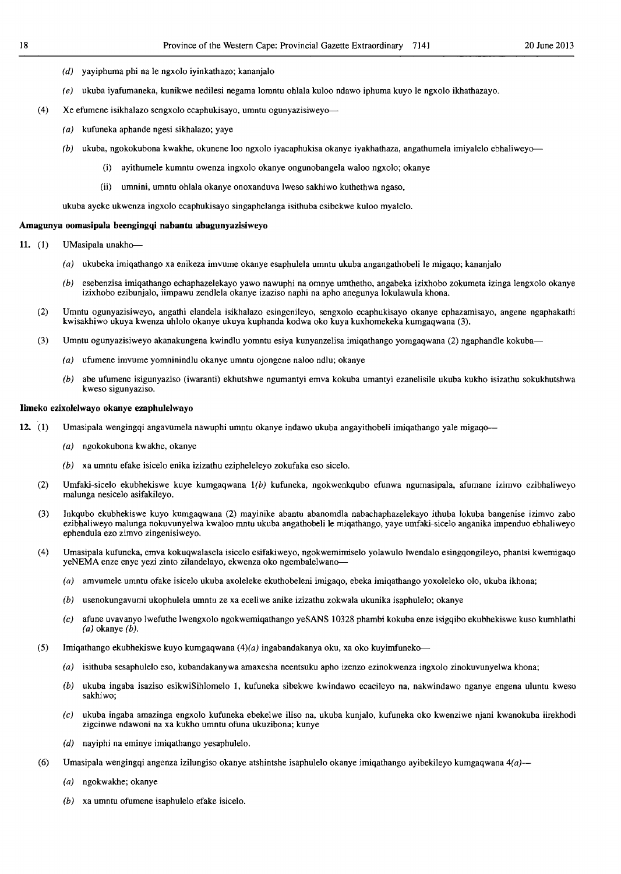- (d) yayiphuma phi na Ie ngxoJo iyinkathazo; kananjaJo
- $(e)$  ukuba iyafumaneka, kunikwe nedilesi negama lomntu ohlala kuloo ndawo iphuma kuyo le ngxolo ikhathazayo.
- (4) Xe efumene isikhalazo sengxolo ecaphukisayo, umntu ogunyazisiweyo-
	- (a) kufuneka aphande ngesi sikhalazo; yaye
	- $(b)$  ukuba, ngokokubona kwakhe, okunene loo ngxolo iyacaphukisa okanye iyakhathaza, angathumela imiyalelo ebhaliweyo----
		- (i) ayithumele kumntu owenza ingxoJo okanye ongunobangela waloo ngxolo; okanye
		- (ii) umnini, umntu ohlala okanye onoxanduva lweso sakhiwo kuthethwa ngaso,

ukuba ayeke ukwenza ingxoJo ecaphukisayo singaphelanga isithuba esibekwe kuloo myaJeJo.

#### Amagunya oomasipala beengingqi nabantu abagunyazisiweyo

- 11. (1) UMasipala unakho--
	- (a) ukubeka imiqathango xa enikeza imvume okanye esaphulela umntu ukuba angangathobeli Je migaqo; kananjal0
	- $(b)$  esebenzisa imiqathango echaphazelekayo yawo nawuphi na omnye umthetho, angabeka izixhobo zokumeta izinga lengxolo okanye izixhobo ezibunjaJo, iimpawu zendleJa okanye izaziso naphi na apho anegunya lokulawula khona.
	- (2) Umntu ogunyazisiweyo, angathi elandela isikhalazo esingenileyo, sengxoJo ecaphukisayo okanye ephazamisayo, angene ngaphakathi kwisakhiwo ukuya kwenza uhlolo okanye ukuya kuphanda kodwa oko kuya kuxhomekeka kumgaqwana (3).
	- (3) Umntu ogunyazisiweyo akanakungena kwindlu yomntu esiya kunyanzelisa imiqathango yomgaqwana (2) ngaphandle kokuba-
		- (a) ufumene imvume yomninindlu okanye umntu ojongene naloo ndlu; okanye
		- (b) abe ufumene isigunyaziso (iwaranti) ekhutshwe ngumantyi emva kokuba umantyi ezanelisile ukuba kukho isizathu sokukhutshwa kweso sigunyaziso.

#### Iimeko ezixolelwayo okanye ezapbulelwayo

- 12. (1) Umasipala wengingqi angavumela nawuphi umntu okanye indawo ukuba angayithobeli imiqathango yale migaqo-
	- (a) ngokokubona kwakhe, okanye
	- $(b)$  xa umntu efake isicelo enika izizathu ezipheleleyo zokufaka eso sicelo.
	- (2) Umfaki-sicelo ekubhekiswe kuye kumgaqwana  $1(b)$  kufuneka, ngokwenkqubo efunwa ngumasipala, afumane izimvo ezibhaliweyo malunga nesicelo asifakileyo.
	- (3) Inkqubo ekubhekiswe kuyo kumgaqwana (2) mayinike abantu abanomdla nabachaphazelekayo ithuba lokuba bangenise izimvo zabo ezibhaliweyo maJunga nokuvunyeJwa kwaloo mntu ukuba angathobeli Ie miqathango, yaye umfaki-sicelo anganika impenduo ebhaJiweyo ephendula ezo zimvo zingenisiweyo.
	- (4) Umasipala kufuneka, emva kokuqwalasela isicelo esifakiweyo, ngokwemimiselo yolawulo lwendalo esingqongileyo, phantsi kwemigaqo yeNEMA enze enye yezi zinto zilandelayo, ekwenza oko ngembalelwano-
		- $(a)$  amvumele umntu ofake isicelo ukuba axoleleke ekuthobeleni imigaqo, ebeka imiqathango yoxoleleko olo, ukuba ikhona;
		- $(b)$  usenokungavumi ukophulela umntu ze xa eceliwe anike izizathu zokwala ukunika isaphulelo; okanye
		- (e) afune uvavanyo Jwefuthe IwengxoJo ngokwemiqathango yeSANS 10328 phambi kokuba enze isigqibo ekubhekiswe kuso kumhlathi  $(a)$  okanye  $(b)$ .
	- (5) Imiqathango ekubhekiswe kuyo kumgaqwana  $(4)(a)$  ingabandakanya oku, xa oko kuyimfuneko-
		- (a) isithuba sesaphulelo eso, kubandakanywa amaxesha neentsuku apho izenzo ezinokwenza ingxolo zinokuvunyelwa khona;
		- (b) ukuba ingaba isaziso esikwiSihlomelo I, kufuneka sibekwe kwindawo ecacileyo na, nakwindawo nganye engena uluntu kweso sakhiwo;
		- (e) ukuba ingaba amazinga engxolo kufuneka ebekelwe iliso na, ukuba kunjaio, kufuneka oko kwenziwe njani kwanokuba iirekhodi zigcinwe ndawoni na xa kukho umntu ofuna ukuzibona; kunye
		- $(d)$  nayiphi na eminye imiqathango yesaphulelo.
	- (6) Umasipala wengingqi angenza izilungiso okanye atshintshe isaphulelo okanye imiqathango ayibekileyo kumgaqwana  $4(a)$ 
		- (a) ngokwakhe; okanye
		- (b) xa umntu ofumene isaphuieio efake isiceio.